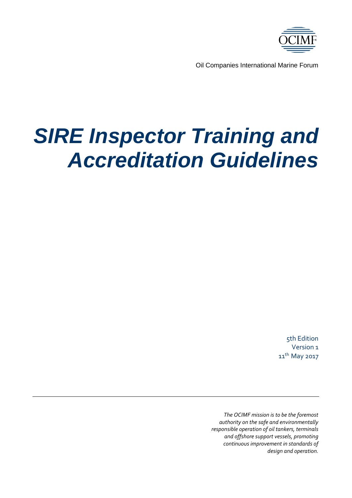

Oil Companies International Marine Forum

# *SIRE Inspector Training and Accreditation Guidelines*

5th Edition Version 1 11<sup>th</sup> May 2017

*The OCIMF mission is to be the foremost authority on the safe and environmentally responsible operation of oil tankers, terminals and offshore support vessels, promoting continuous improvement in standards of design and operation.*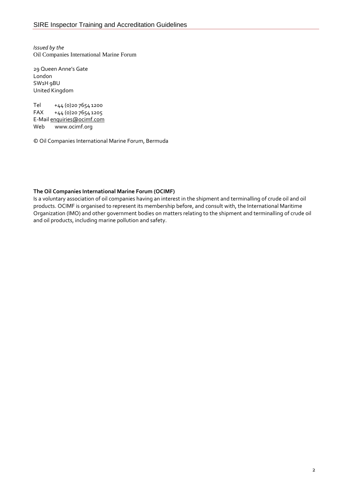*Issued by the* Oil Companies International Marine Forum

29 Queen Anne's Gate London SW1H 9BU United Kingdom

Tel +44 (0)20 7654 1200 FAX +44 (0)20 7654 1205 E-Mai[l enquiries@ocimf.com](mailto:enquiries@ocimf.com)<br>Web www.ocimf.org [www.ocimf.org](http://www.ocimf.org/)

© Oil Companies International Marine Forum, Bermuda

#### **The Oil Companies International Marine Forum (OCIMF)**

Is a voluntary association of oil companies having an interest in the shipment and terminalling of crude oil and oil products. OCIMF is organised to represent its membership before, and consult with, the International Maritime Organization (IMO) and other government bodies on matters relating to the shipment and terminalling of crude oil and oil products, including marine pollution and safety.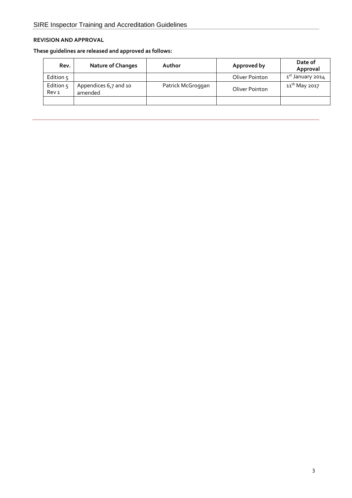## **REVISION AND APPROVAL**

**These guidelines are released and approved as follows:**

| Rev.                          | <b>Nature of Changes</b>         | Author            | Approved by    | Date of<br>Approval          |
|-------------------------------|----------------------------------|-------------------|----------------|------------------------------|
| Edition $5$                   |                                  |                   | Oliver Pointon | 1 <sup>st</sup> January 2014 |
| Edition 5<br>Rev <sub>1</sub> | Appendices 6,7 and 10<br>amended | Patrick McGroggan | Oliver Pointon | 11 <sup>th</sup> May 2017    |
|                               |                                  |                   |                |                              |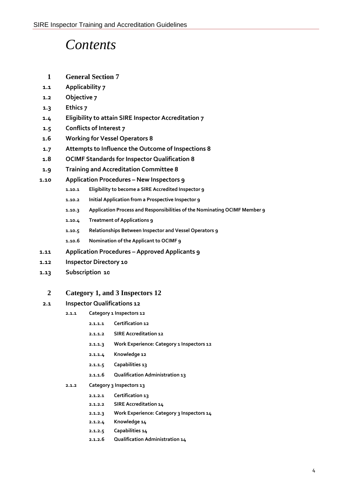## *Contents*

- **1 General Section 7**
- **1.1 Applicability 7**
- **1.2 Objective 7**
- **1.3 Ethics 7**
- **1.4 Eligibility to attain SIRE Inspector Accreditation 7**
- **1.5 Conflicts of Interest 7**
- **1.6 Working for Vessel Operators 8**
- **1.7 Attempts to Influence the Outcome of Inspections 8**
- **1.8 OCIMF Standards for Inspector Qualification 8**
- **1.9 Training and Accreditation Committee 8**
- **1.10 Application Procedures – New Inspectors 9**
	- **1.10.1 Eligibility to become a SIRE Accredited Inspector 9**
	- **1.10.2 Initial Application from a Prospective Inspector 9**
	- **1.10.3 Application Process and Responsibilities of the Nominating OCIMF Member 9**
	- **1.10.4 Treatment of Applications 9**
	- **1.10.5 Relationships Between Inspector and Vessel Operators 9**
	- **1.10.6 Nomination of the Applicant to OCIMF 9**
- **1.11 Application Procedures – Approved Applicants 9**
- **1.12 Inspector Directory 10**
- **1.13 Subscription 10**

#### **2 Category 1, and 3 Inspectors 12**

- **2.1 Inspector Qualifications 12**
	- **2.1.1 Category 1 Inspectors 12**
		- **2.1.1.1 Certification 12**
		- **2.1.1.2 SIRE Accreditation 12**
		- **2.1.1.3 Work Experience: Category 1 Inspectors 12**
		- **2.1.1.4 Knowledge 12**
		- **2.1.1.5 Capabilities 13**
		- **2.1.1.6 Qualification Administration 13**
	- **2.1.2 Category 3 Inspectors 13**
		- **2.1.2.1 Certification 13**
		- **2.1.2.2 SIRE Accreditation 14**
		- **2.1.2.3 Work Experience: Category 3 Inspectors 14**
		- **2.1.2.4 Knowledge 14**
		- **2.1.2.5 Capabilities 14**
		- **2.1.2.6 Qualification Administration 14**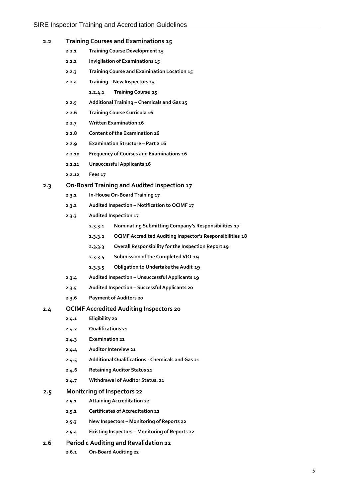| 2.2 |       | Training Courses and Examinations 15        |  |  |
|-----|-------|---------------------------------------------|--|--|
|     | 2.2.1 | Training Course Development 15              |  |  |
|     | 2.2.2 | Invigilation of Examinations 15             |  |  |
|     | 2.2.3 | Training Course and Examination Location 15 |  |  |
|     | 2.2.4 | Training – New Inspectors 15                |  |  |
|     |       | Training Course 15<br>2.2.4.1               |  |  |
|     | 2.2.5 | Additional Training – Chemicals and Gas 15  |  |  |
|     |       |                                             |  |  |

- **2.2.6 Training Course Curricula 16**
- **2.2.7 Written Examination 16**
- **2.2.8 Content of the Examination 16**
- **2.2.9 Examination Structure – Part 2 16**
- **2.2.10 Frequency of Courses and Examinations 16**
- **2.2.11 Unsuccessful Applicants 16**
- **2.2.12 Fees 17**

#### **2.3 On-Board Training and Audited Inspection 17**

- **2.3.1 In-House On-Board Training 17**
- **2.3.2 Audited Inspection – Notification to OCIMF 17**
- **2.3.3 Audited Inspection 17**
	- **2.3.3.1 Nominating Submitting Company's Responsibilities 17**
	- **2.3.3.2 OCIMF Accredited Auditing Inspector's Responsibilities 18**
	- **2.3.3.3 Overall Responsibility for the Inspection Report 19**
	- **2.3.3.4 Submission of the Completed VIQ 19**
	- **2.3.3.5 Obligation to Undertake the Audit 19**
- **2.3.4 Audited Inspection – Unsuccessful Applicants 19**
- **2.3.5 Audited Inspection – Successful Applicants 20**
- **2.3.6 Payment of Auditors 20**

#### **2.4 OCIMF Accredited Auditing Inspectors 20**

- **2.4.1 Eligibility 20**
- **2.4.2 Qualifications 21**
- **2.4.3 Examination 21**
- **2.4.4 Auditor Interview 21**
- **2.4.5 Additional Qualifications - Chemicals and Gas 21**
- **2.4.6 Retaining Auditor Status 21**
- **2.4.7 Withdrawal of Auditor Status. 21**

#### **2.5 Monitoring of Inspectors 22**

- **2.5.1 Attaining Accreditation 22**
- **2.5.2 Certificates of Accreditation 22**
- **2.5.3 New Inspectors – Monitoring of Reports 22**
- **2.5.4 Existing Inspectors – Monitoring of Reports 22**

#### **2.6 Periodic Auditing and Revalidation 22**

**2.6.1 On-Board Auditing 22**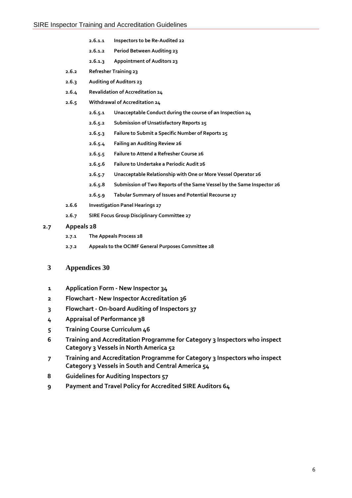- **2.6.1.1 Inspectors to be Re-Audited 22**
- **2.6.1.2 Period Between Auditing 23**
- **2.6.1.3 Appointment of Auditors 23**
- **2.6.2 Refresher Training 23**
- **2.6.3 Auditing of Auditors 23**
- **2.6.4 Revalidation of Accreditation 24**
- **2.6.5 Withdrawal of Accreditation 24**
	- **2.6.5.1 Unacceptable Conduct during the course of an Inspection 24**
	- **2.6.5.2 Submission of Unsatisfactory Reports 25**
	- **2.6.5.3 Failure to Submit a Specific Number of Reports 25**
	- **2.6.5.4 Failing an Auditing Review 26**
	- **2.6.5.5 Failure to Attend a Refresher Course 26**
	- **2.6.5.6 Failure to Undertake a Periodic Audit 26**
	- **2.6.5.7 Unacceptable Relationship with One or More Vessel Operator 26**
	- **2.6.5.8 Submission of Two Reports of the Same Vessel by the Same Inspector 26**
	- **2.6.5.9 Tabular Summary of Issues and Potential Recourse 27**
- **2.6.6 Investigation Panel Hearings 27**
- **2.6.7 SIRE Focus Group Disciplinary Committee 27**

#### **2.7 Appeals 28**

- **2.7.1 The Appeals Process 28**
- **2.7.2 Appeals to the OCIMF General Purposes Committee 28**

#### **3 Appendices 30**

- **1 Application Form - New Inspector 34**
- **2 Flowchart - New Inspector Accreditation 36**
- **3 Flowchart - On-board Auditing of Inspectors 37**
- **4 Appraisal of Performance 38**
- **5 Training Course Curriculum 46**
- **6 Training and Accreditation Programme for Category 3 Inspectors who inspect Category 3 Vessels in North America 52**
- **7 Training and Accreditation Programme for Category 3 Inspectors who inspect Category 3 Vessels in South and Central America 54**
- **8 Guidelines for Auditing Inspectors 57**
- **9 Payment and Travel Policy for Accredited SIRE Auditors 64**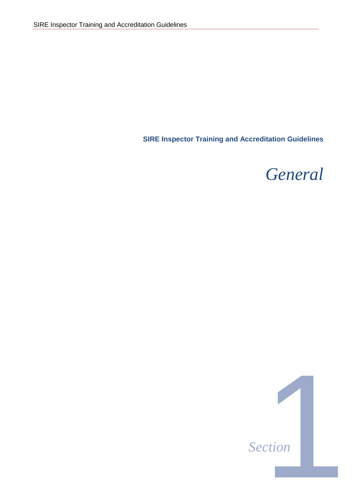**SIRE Inspector Training and Accreditation Guidelines**

*General*

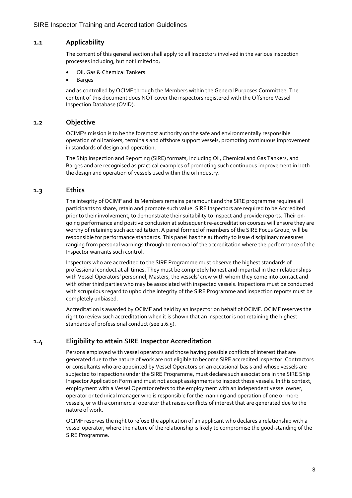## **1.1 Applicability**

The content of this general section shall apply to all Inspectors involved in the various inspection processes including, but not limited to;

- Oil, Gas & Chemical Tankers
- **Barges**

and as controlled by OCIMF through the Members within the General Purposes Committee. The content of this document does NOT cover the inspectors registered with the Offshore Vessel Inspection Database (OVID).

#### **1.2 Objective**

OCIMF's mission is to be the foremost authority on the safe and environmentally responsible operation of oil tankers, terminals and offshore support vessels, promoting continuous improvement in standards of design and operation.

The Ship Inspection and Reporting (SIRE) formats; including Oil, Chemical and Gas Tankers, and Barges and are recognised as practical examples of promoting such continuous improvement in both the design and operation of vessels used within the oil industry.

#### **1.3 Ethics**

The integrity of OCIMF and its Members remains paramount and the SIRE programme requires all participants to share, retain and promote such value. SIRE Inspectors are required to be Accredited prior to their involvement, to demonstrate their suitability to inspect and provide reports. Their ongoing performance and positive conclusion at subsequent re-accreditation courses will ensure they are worthy of retaining such accreditation. A panel formed of members of the SIRE Focus Group, will be responsible for performance standards. This panel has the authority to issue disciplinary measures ranging from personal warnings through to removal of the accreditation where the performance of the Inspector warrants such control.

Inspectors who are accredited to the SIRE Programme must observe the highest standards of professional conduct at all times. They must be completely honest and impartial in their relationships with Vessel Operators' personnel, Masters, the vessels' crew with whom they come into contact and with other third parties who may be associated with inspected vessels. Inspections must be conducted with scrupulous regard to uphold the integrity of the SIRE Programme and inspection reports must be completely unbiased.

Accreditation is awarded by OCIMF and held by an Inspector on behalf of OCIMF. OCIMF reserves the right to review such accreditation when it is shown that an Inspector is not retaining the highest standards of professional conduct (see 2.6.5).

## **1.4 Eligibility to attain SIRE Inspector Accreditation**

Persons employed with vessel operators and those having possible conflicts of interest that are generated due to the nature of work are not eligible to become SIRE accredited inspector. Contractors or consultants who are appointed by Vessel Operators on an occasional basis and whose vessels are subjected to inspections under the SIRE Programme, must declare such associations in the SIRE Ship Inspector Application Form and must not accept assignments to inspect these vessels. In this context, employment with a Vessel Operator refers to the employment with an independent vessel owner, operator or technical manager who is responsible for the manning and operation of one or more vessels, or with a commercial operator that raises conflicts of interest that are generated due to the nature of work.

OCIMF reserves the right to refuse the application of an applicant who declares a relationship with a vessel operator, where the nature of the relationship is likely to compromise the good-standing of the SIRE Programme.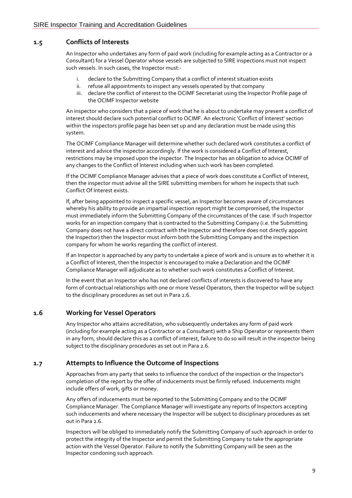## **1.5 Conflicts of Interests**

An Inspector who undertakes any form of paid work (including for example acting as a Contractor or a Consultant) for a Vessel Operator whose vessels are subjected to SIRE inspections must not inspect such vessels. In such cases, the Inspector must:-

- i. declare to the Submitting Company that a conflict of interest situation exists
- ii. refuse all appointments to inspect any vessels operated by that company
- iii. declare the conflict of interest to the OCIMF Secretariat using the Inspector Profile page of the OCIMF Inspector website

An inspector who considers that a piece of work that he is about to undertake may present a conflict of interest should declare such potential conflict to OCIMF. An electronic 'Conflict of Interest' section within the inspectors profile page has been set up and any declaration must be made using this system.

The OCIMF Compliance Manager will determine whether such declared work constitutes a conflict of interest and advice the inspector accordingly. If the work is considered a Conflict of Interest, restrictions may be imposed upon the inspector. The Inspector has an obligation to advice OCIMF of any changes to the Conflict of Interest including when such work has been completed.

If the OCIMF Compliance Manager advises that a piece of work does constitute a Conflict of Interest, then the inspector must advise all the SIRE submitting members for whom he inspects that such Conflict Of Interest exists.

If, after being appointed to inspect a specific vessel, an Inspector becomes aware of circumstances whereby his ability to provide an impartial inspection report might be compromised, the Inspector must immediately inform the Submitting Company of the circumstances of the case. If such Inspector works for an inspection company that is contracted to the Submitting Company (i.e. the Submitting Company does not have a direct contract with the Inspector and therefore does not directly appoint the Inspector) then the Inspector must inform both the Submitting Company and the inspection company for whom he works regarding the conflict of interest.

If an Inspector is approached by any party to undertake a piece of work and is unsure as to whether it is a Conflict of Interest, then the Inspector is encouraged to make a Declaration and the OCIMF Compliance Manager will adjudicate as to whether such work constitutes a Conflict of Interest.

In the event that an Inspector who has not declared conflicts of interests is discovered to have any form of contractual relationships with one or more Vessel Operators, then the Inspector will be subject to the disciplinary procedures as set out in Para 2.6.

## **1.6 Working for Vessel Operators**

Any Inspector who attains accreditation, who subsequently undertakes any form of paid work (including for example acting as a Contractor or a Consultant) with a Ship Operator or represents them in any form, should declare this as a conflict of interest, failure to do so will result in the inspector being subject to the disciplinary procedures as set out in Para 2.6.

## **1.7 Attempts to Influence the Outcome of Inspections**

Approaches from any party that seeks to influence the conduct of the inspection or the Inspector's completion of the report by the offer of inducements must be firmly refused. Inducements might include offers of work, gifts or money.

Any offers of inducements must be reported to the Submitting Company and to the OCIMF Compliance Manager. The Compliance Manager will investigate any reports of Inspectors accepting such inducements and where necessary the Inspector will be subject to disciplinary procedures as set out in Para 2.6.

Inspectors will be obliged to immediately notify the Submitting Company of such approach in order to protect the integrity of the Inspector and permit the Submitting Company to take the appropriate action with the Vessel Operator. Failure to notify the Submitting Company will be seen as the Inspector condoning such approach.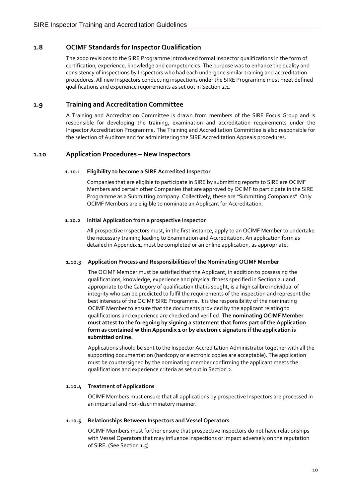## **1.8 OCIMF Standards for Inspector Qualification**

The 2000 revisions to the SIRE Programme introduced formal Inspector qualifications in the form of certification, experience, knowledge and competencies. The purpose was to enhance the quality and consistency of inspections by Inspectors who had each undergone similar training and accreditation procedures. All new Inspectors conducting inspections under the SIRE Programme must meet defined qualifications and experience requirements as set out in Section 2.1.

## **1.9 Training and Accreditation Committee**

A Training and Accreditation Committee is drawn from members of the SIRE Focus Group and is responsible for developing the training, examination and accreditation requirements under the Inspector Accreditation Programme. The Training and Accreditation Committee is also responsible for the selection of Auditors and for administering the SIRE Accreditation Appeals procedures.

## **1.10 Application Procedures – New Inspectors**

#### **1.10.1 Eligibility to become a SIRE Accredited Inspector**

Companies that are eligible to participate in SIRE by submitting reports to SIRE are OCIMF Members and certain other Companies that are approved by OCIMF to participate in the SIRE Programme as a Submitting company. Collectively, these are "Submitting Companies". Only OCIMF Members are eligible to nominate an Applicant for Accreditation.

#### **1.10.2 Initial Application from a prospective Inspector**

All prospective Inspectors must, in the first instance, apply to an OCIMF Member to undertake the necessary training leading to Examination and Accreditation. An application form as detailed in Appendix 1, must be completed or an online application, as appropriate.

#### **1.10.3 Application Process and Responsibilities of the Nominating OCIMF Member**

The OCIMF Member must be satisfied that the Applicant, in addition to possessing the qualifications, knowledge, experience and physical fitness specified in Section 2.1 and appropriate to the Category of qualification that is sought, is a high calibre individual of integrity who can be predicted to fulfil the requirements of the inspection and represent the best interests of the OCIMF SIRE Programme. It is the responsibility of the nominating OCIMF Member to ensure that the documents provided by the applicant relating to qualifications and experience are checked and verified. **The nominating OCIMF Member must attest to the foregoing by signing a statement that forms part of the Application form as contained within Appendix 1 or by electronic signature if the application is submitted online.**

Applications should be sent to the Inspector Accreditation Administrator together with all the supporting documentation (hardcopy or electronic copies are acceptable). The application must be countersigned by the nominating member confirming the applicant meets the qualifications and experience criteria as set out in Section 2.

#### **1.10.4 Treatment of Applications**

OCIMF Members must ensure that all applications by prospective Inspectors are processed in an impartial and non-discriminatory manner.

#### **1.10.5 Relationships Between Inspectors and Vessel Operators**

OCIMF Members must further ensure that prospective Inspectors do not have relationships with Vessel Operators that may influence inspections or impact adversely on the reputation of SIRE. (See Section 1.5)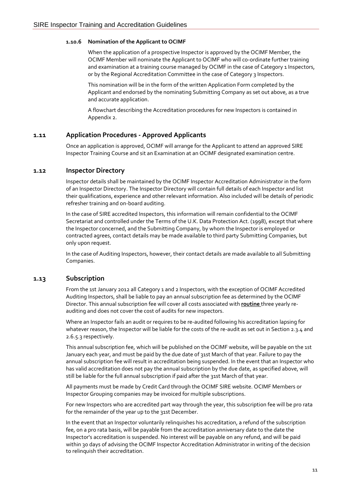#### **1.10.6 Nomination of the Applicant to OCIMF**

When the application of a prospective Inspector is approved by the OCIMF Member, the OCIMF Member will nominate the Applicant to OCIMF who will co-ordinate further training and examination at a training course managed by OCIMF in the case of Category 1 Inspectors, or by the Regional Accreditation Committee in the case of Category 3 Inspectors.

This nomination will be in the form of the written Application Form completed by the Applicant and endorsed by the nominating Submitting Company as set out above, as a true and accurate application.

A flowchart describing the Accreditation procedures for new Inspectors is contained in Appendix 2.

#### **1.11 Application Procedures - Approved Applicants**

Once an application is approved, OCIMF will arrange for the Applicant to attend an approved SIRE Inspector Training Course and sit an Examination at an OCIMF designated examination centre.

#### **1.12 Inspector Directory**

Inspector details shall be maintained by the OCIMF Inspector Accreditation Administrator in the form of an Inspector Directory. The Inspector Directory will contain full details of each Inspector and list their qualifications, experience and other relevant information. Also included will be details of periodic refresher training and on-board auditing.

In the case of SIRE accredited Inspectors, this information will remain confidential to the OCIMF Secretariat and controlled under the Terms of the U.K. Data Protection Act. (1998), except that where the Inspector concerned, and the Submitting Company, by whom the Inspector is employed or contracted agrees, contact details may be made available to third party Submitting Companies, but only upon request.

In the case of Auditing Inspectors, however, their contact details are made available to all Submitting Companies.

#### **1.13 Subscription**

From the 1st January 2012 all Category 1 and 2 Inspectors, with the exception of OCIMF Accredited Auditing Inspectors, shall be liable to pay an annual subscription fee as determined by the OCIMF Director. This annual subscription fee will cover all costs associated with **routine** three yearly reauditing and does not cover the cost of audits for new inspectors.

Where an Inspector fails an audit or requires to be re-audited following his accreditation lapsing for whatever reason, the Inspector will be liable for the costs of the re-audit as set out in Section 2.3.4 and 2.6.5.3 respectively.

This annual subscription fee, which will be published on the OCIMF website, will be payable on the 1st January each year, and must be paid by the due date of 31st March of that year. Failure to pay the annual subscription fee will result in accreditation being suspended. In the event that an Inspector who has valid accreditation does not pay the annual subscription by the due date, as specified above, will still be liable for the full annual subscription if paid after the 31st March of that year.

All payments must be made by Credit Card through the OCIMF SIRE website. OCIMF Members or Inspector Grouping companies may be invoiced for multiple subscriptions.

For new Inspectors who are accredited part way through the year, this subscription fee will be pro rata for the remainder of the year up to the 31st December.

In the event that an Inspector voluntarily relinquishes his accreditation, a refund of the subscription fee, on a pro rata basis, will be payable from the accreditation anniversary date to the date the Inspector's accreditation is suspended. No interest will be payable on any refund, and will be paid within 30 days of advising the OCIMF Inspector Accreditation Administrator in writing of the decision to relinquish their accreditation.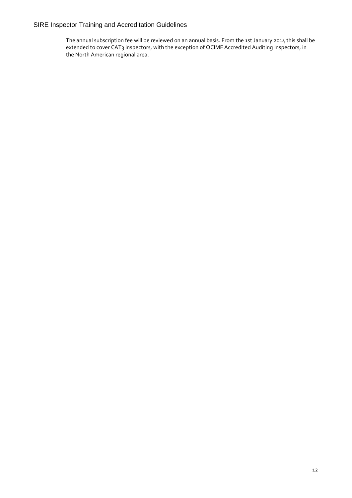The annual subscription fee will be reviewed on an annual basis. From the 1st January 2014 this shall be extended to cover CAT3 inspectors, with the exception of OCIMF Accredited Auditing Inspectors, in the North American regional area.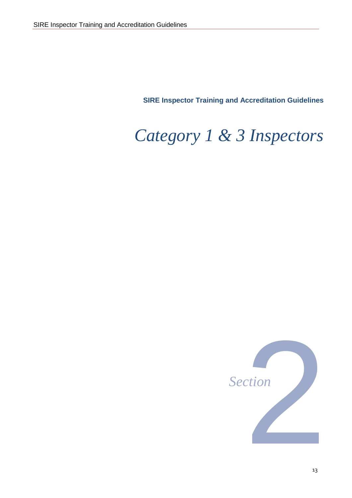**SIRE Inspector Training and Accreditation Guidelines**

# *Category 1 & 3 Inspectors*



13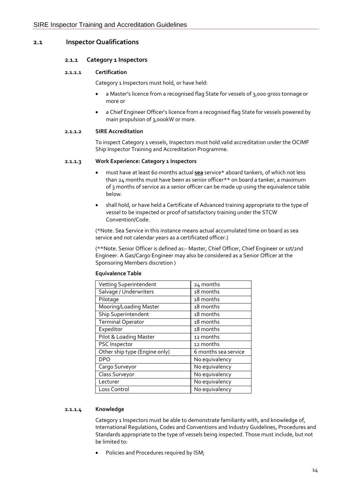## **2.1 Inspector Qualifications**

#### **2.1.1 Category 1 Inspectors**

#### **2.1.1.1 Certification**

Category 1 Inspectors must hold, or have held:

- a Master's licence from a recognised flag State for vessels of 3,000 gross tonnage or more or
- a Chief Engineer Officer's licence from a recognised flag State for vessels powered by main propulsion of 3,000kW or more.

#### **2.1.1.2 SIRE Accreditation**

To inspect Category 1 vessels, Inspectors must hold valid accreditation under the OCIMF Ship Inspector Training and Accreditation Programme.

#### **2.1.1.3 Work Experience: Category 1 Inspectors**

- must have at least 60 months actual **sea** service\* aboard tankers, of which not less than 24 months must have been as senior officer\*\* on board a tanker, a maximum of 3 months of service as a senior officer can be made up using the equivalence table below.
- shall hold, or have held a Certificate of Advanced training appropriate to the type of vessel to be inspected or proof of satisfactory training under the STCW Convention/Code.

(\*Note. Sea Service in this instance means actual accumulated time on board as sea service and not calendar years as a certificated officer.)

(\*\*Note. Senior Officer is defined as:- Master, Chief Officer, Chief Engineer or 1st/2nd Engineer. A Gas/Cargo Engineer may also be considered as a Senior Officer at the Sponsoring Members discretion )

| Vetting Superintendent        | 24 months            |
|-------------------------------|----------------------|
| Salvage / Underwriters        | 18 months            |
| Pilotage                      | 18 months            |
| Mooring/Loading Master        | 18 months            |
| Ship Superintendent           | 18 months            |
| <b>Terminal Operator</b>      | 18 months            |
| Expeditor                     | 18 months            |
| Pilot & Loading Master        | 12 months            |
| PSC Inspector                 | 12 months            |
| Other ship type (Engine only) | 6 months sea service |
| <b>DPO</b>                    | No equivalency       |
| Cargo Surveyor                | No equivalency       |
| Class Surveyor                | No equivalency       |
| Lecturer                      | No equivalency       |
| Loss Control                  | No equivalency       |

#### **Equivalence Table**

#### **2.1.1.4 Knowledge**

Category 1 Inspectors must be able to demonstrate familiarity with, and knowledge of, International Regulations, Codes and Conventions and Industry Guidelines, Procedures and Standards appropriate to the type of vessels being inspected. Those must include, but not be limited to:

Policies and Procedures required by ISM;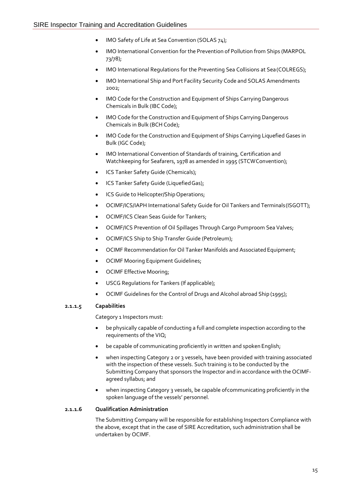- IMO Safety of Life at Sea Convention (SOLAS 74);
- IMO International Convention for the Prevention of Pollution from Ships (MARPOL 73/78);
- IMO International Regulations for the Preventing Sea Collisions at Sea(COLREGS);
- IMO International Ship and Port Facility Security Code and SOLAS Amendments 2002;
- IMO Code for the Construction and Equipment of Ships Carrying Dangerous Chemicals in Bulk (IBC Code);
- IMO Code for the Construction and Equipment of Ships Carrying Dangerous Chemicals in Bulk (BCH Code);
- IMO Code for the Construction and Equipment of Ships Carrying Liquefied Gases in Bulk (IGC Code);
- IMO International Convention of Standards of training, Certification and Watchkeeping for Seafarers, 1978 as amended in 1995 (STCWConvention);
- ICS Tanker Safety Guide (Chemicals);
- ICS Tanker Safety Guide (Liquefied Gas);
- ICS Guide to Helicopter/Ship Operations;
- OCIMF/ICS/IAPH International Safety Guide for Oil Tankers and Terminals(ISGOTT);
- OCIMF/ICS Clean Seas Guide for Tankers;
- OCIMF/ICS Prevention of Oil Spillages Through Cargo Pumproom Sea Valves;
- OCIMF/ICS Ship to Ship Transfer Guide (Petroleum);
- OCIMF Recommendation for Oil Tanker Manifolds and Associated Equipment;
- OCIMF Mooring Equipment Guidelines;
- OCIMF Effective Mooring;
- USCG Regulations for Tankers (If applicable);
- OCIMF Guidelines for the Control of Drugs and Alcohol abroad Ship (1995);

#### **2.1.1.5 Capabilities**

Category 1 Inspectors must:

- be physically capable of conducting a full and complete inspection according to the requirements of the VIQ;
- be capable of communicating proficiently in written and spoken English;
- when inspecting Category 2 or 3 vessels, have been provided with training associated with the inspection of these vessels. Such training is to be conducted by the Submitting Company that sponsors the Inspector and in accordance with the OCIMFagreed syllabus; and
- when inspecting Category 3 vessels, be capable of communicating proficiently in the spoken language of the vessels' personnel.

#### **2.1.1.6 Qualification Administration**

The Submitting Company will be responsible for establishing Inspectors Compliance with the above, except that in the case of SIRE Accreditation, such administration shall be undertaken by OCIMF.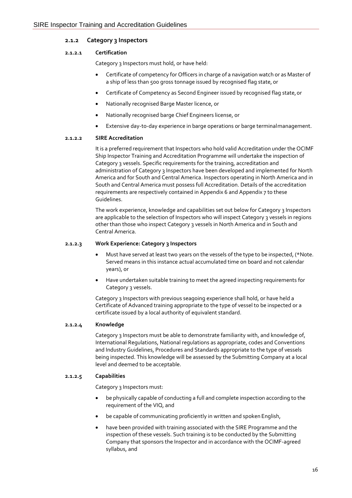#### **2.1.2 Category 3 Inspectors**

#### **2.1.2.1 Certification**

Category 3 Inspectors must hold, or have held:

- Certificate of competency for Officers in charge of a navigation watch or as Master of a ship of less than 500 gross tonnage issued by recognised flag state, or
- Certificate of Competency as Second Engineer issued by recognised flag state,or
- Nationally recognised Barge Master licence, or
- Nationally recognised barge Chief Engineers license, or
- Extensive day-to-day experience in barge operations or barge terminalmanagement.

#### **2.1.2.2 SIRE Accreditation**

It is a preferred requirement that Inspectors who hold valid Accreditation under the OCIMF Ship Inspector Training and Accreditation Programme will undertake the inspection of Category 3 vessels. Specific requirements for the training, accreditation and administration of Category 3 Inspectors have been developed and implemented for North America and for South and Central America. Inspectors operating in North America and in South and Central America must possess full Accreditation. Details of the accreditation requirements are respectively contained in Appendix 6 and Appendix 7 to these Guidelines.

The work experience, knowledge and capabilities set out below for Category 3 Inspectors are applicable to the selection of Inspectors who will inspect Category 3 vessels in regions other than those who inspect Category 3 vessels in North America and in South and Central America.

#### **2.1.2.3 Work Experience: Category 3 Inspectors**

- Must have served at least two years on the vessels of the type to be inspected, (\*Note. Served means in this instance actual accumulated time on board and not calendar years), or
- Have undertaken suitable training to meet the agreed inspecting requirements for Category 3 vessels.

Category 3 Inspectors with previous seagoing experience shall hold, or have held a Certificate of Advanced training appropriate to the type of vessel to be inspected or a certificate issued by a local authority of equivalent standard.

#### **2.1.2.4 Knowledge**

Category 3 Inspectors must be able to demonstrate familiarity with, and knowledge of, International Regulations, National regulations as appropriate, codes and Conventions and Industry Guidelines, Procedures and Standards appropriate to the type of vessels being inspected. This knowledge will be assessed by the Submitting Company at a local level and deemed to be acceptable.

#### **2.1.2.5 Capabilities**

Category 3 Inspectors must:

- be physically capable of conducting a full and complete inspection according to the requirement of the VIQ, and
- be capable of communicating proficiently in written and spoken English,
- have been provided with training associated with the SIRE Programme and the inspection of these vessels. Such training is to be conducted by the Submitting Company that sponsors the Inspector and in accordance with the OCIMF-agreed syllabus, and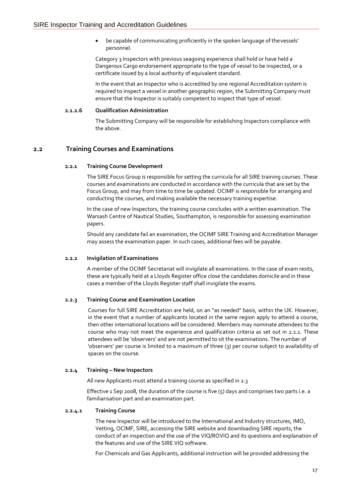• be capable of communicating proficiently in the spoken language of thevessels' personnel.

Category 3 Inspectors with previous seagoing experience shall hold or have held a Dangerous Cargo endorsement appropriate to the type of vessel to be inspected, or a certificate issued by a local authority of equivalent standard.

In the event that an Inspector who is accredited by one regional Accreditation system is required to inspect a vessel in another geographic region, the Submitting Company must ensure that the Inspector is suitably competent to inspect that type of vessel.

#### **2.1.2.6 Qualification Administration**

The Submitting Company will be responsible for establishing Inspectors compliance with the above.

## **2.2 Training Courses and Examinations**

#### **2.2.1 Training Course Development**

The SIRE Focus Group is responsible for setting the curricula for all SIRE training courses. These courses and examinations are conducted in accordance with the curricula that are set by the Focus Group, and may from time to time be updated. OCIMF is responsible for arranging and conducting the courses, and making available the necessary training expertise.

In the case of new Inspectors, the training course concludes with a written examination. The Warsash Centre of Nautical Studies, Southampton, is responsible for assessing examination papers.

Should any candidate fail an examination, the OCIMF SIRE Training and Accreditation Manager may assess the examination paper. In such cases, additional fees will be payable.

#### **2.2.2 Invigilation of Examinations**

A member of the OCIMF Secretariat will invigilate all examinations. In the case of exam resits, these are typically held at a Lloyds Register office close the candidates domicile and in these cases a member of the Lloyds Register staff shall invigilate the exams.

#### **2.2.3 Training Course and Examination Location**

Courses for full SIRE Accreditation are held, on an "as needed" basis, within the UK. However, in the event that a number of applicants located in the same region apply to attend a course, then other international locations will be considered. Members may nominate attendees to the course who may not meet the experience and qualification criteria as set out in 2.1.1. These attendees will be 'observers' and are not permitted to sit the examinations. The number of 'observers' per course is limited to a maximum of three (3) per course subject to availability of spaces on the course.

#### **2.2.4 Training – New Inspectors**

All new Applicants must attend a training course as specified in 2.3

Effective 1 Sep 2008, the duration of the course is five  $(5)$  days and comprises two parts i.e. a familiarisation part and an examination part.

#### **2.2.4.1 Training Course**

The new Inspector will be introduced to the International and Industry structures, IMO, Vetting, OCIMF, SIRE, accessing the SIRE website and downloading SIRE reports, the conduct of an inspection and the use of the VIQ/ROVIQ and its questions and explanation of the features and use of the SIRE VIQ software.

For Chemicals and Gas Applicants, additional instruction will be provided addressing the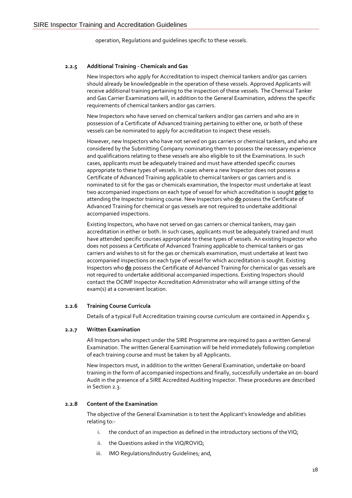operation, Regulations and guidelines specific to these vessels.

#### **2.2.5 Additional Training - Chemicals and Gas**

New Inspectors who apply for Accreditation to inspect chemical tankers and/or gas carriers should already be knowledgeable in the operation of these vessels. Approved Applicants will receive additional training pertaining to the inspection of these vessels. The Chemical Tanker and Gas Carrier Examinations will, in addition to the General Examination, address the specific requirements of chemical tankers and/or gas carriers.

New Inspectors who have served on chemical tankers and/or gas carriers and who are in possession of a Certificate of Advanced training pertaining to either one, or both of these vessels can be nominated to apply for accreditation to inspect these vessels.

However, new Inspectors who have not served on gas carriers or chemical tankers, and who are considered by the Submitting Company nominating them to possess the necessary experience and qualifications relating to these vessels are also eligible to sit the Examinations. In such cases, applicants must be adequately trained and must have attended specific courses appropriate to these types of vessels. In cases where a new Inspector does not possess a Certificate of Advanced Training applicable to chemical tankers or gas carriers and is nominated to sit for the gas or chemicals examination, the Inspector must undertake at least two accompanied inspections on each type of vessel for which accreditation is sought **prior** to attending the Inspector training course. New Inspectors who **do** possess the Certificate of Advanced Training for chemical or gas vessels are not required to undertake additional accompanied inspections.

Existing Inspectors, who have not served on gas carriers or chemical tankers, may gain accreditation in either or both. In such cases, applicants must be adequately trained and must have attended specific courses appropriate to these types of vessels. An existing Inspector who does not possess a Certificate of Advanced Training applicable to chemical tankers or gas carriers and wishes to sit for the gas or chemicals examination, must undertake at least two accompanied inspections on each type of vessel for which accreditation is sought. Existing Inspectors who **do** possess the Certificate of Advanced Training for chemical or gas vessels are not required to undertake additional accompanied inspections. Existing Inspectors should contact the OCIMF Inspector Accreditation Administrator who will arrange sitting of the exam(s) at a convenient location.

#### **2.2.6 Training Course Curricula**

Details of a typical Full Accreditation training course curriculum are contained in Appendix 5.

#### **2.2.7 Written Examination**

All Inspectors who inspect under the SIRE Programme are required to pass a written General Examination. The written General Examination will be held immediately following completion of each training course and must be taken by all Applicants.

New Inspectors must, in addition to the written General Examination, undertake on-board training in the form of accompanied inspections and finally, successfully undertake an on-board Audit in the presence of a SIRE Accredited Auditing Inspector. These procedures are described in Section 2.3.

#### **2.2.8 Content of the Examination**

The objective of the General Examination is to test the Applicant's knowledge and abilities relating to:-

- i. the conduct of an inspection as defined in the introductory sections of the VIQ;
- ii. the Questions asked in the VIQ/ROVIQ;
- iii. IMO Regulations/Industry Guidelines; and,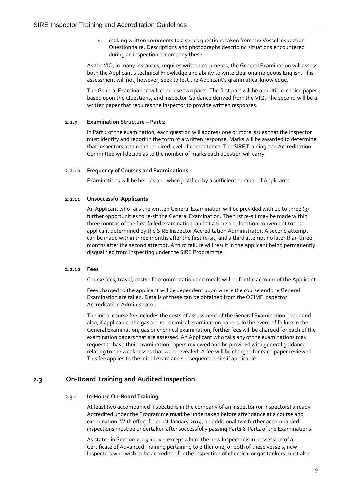iv. making written comments to a series questions taken from the Vessel Inspection Questionnaire. Descriptions and photographs describing situations encountered during an inspection accompany these.

As the VIQ, in many instances, requires written comments, the General Examination will assess both the Applicant's technical knowledge and ability to write clear unambiguous English. This assessment will not, however, seek to test the Applicant's grammatical knowledge.

The General Examination will comprise two parts. The first part will be a multiple-choice paper based upon the Questions, and Inspector Guidance derived from the VIQ. The second will be a written paper that requires the Inspector to provide written responses.

#### **2.2.9 Examination Structure – Part 2**

In Part 2 of the examination, each question will address one or more issues that the Inspector must identify and report in the form of a written response. Marks will be awarded to determine that Inspectors attain the required level of competence. The SIRE Training and Accreditation Committee will decide as to the number of marks each question will carry

#### **2.2.10 Frequency of Courses and Examinations**

Examinations will be held as and when justified by a sufficient number of Applicants.

#### **2.2.11 Unsuccessful Applicants**

An Applicant who fails the written General Examination will be provided with up to three (3) further opportunities to re-sit the General Examination. The first re-sit may be made within three months of the first failed examination, and at a time and location convenient to the applicant determined by the SIRE Inspector Accreditation Administrator. A second attempt can be made within three months after the first re-sit, and a third attempt no later than three months after the second attempt. A third failure will result in the Applicant being permanently disqualified from inspecting under the SIRE Programme.

#### **2.2.12 Fees**

Course fees, travel, costs of accommodation and meals will be for the account of the Applicant.

Fees charged to the applicant will be dependent upon where the course and the General Examination are taken. Details of these can be obtained from the OCIMF Inspector Accreditation Administrator.

The initial course fee includes the costs of assessment of the General Examination paper and also, if applicable, the gas and/or chemical examination papers. In the event of failure in the General Examination, gas or chemical examination, further fees will be charged for each of the examination papers that are assessed. An Applicant who fails any of the examinations may request to have their examination papers reviewed and be provided with general guidance relating to the weaknesses that were revealed. A fee will be charged for each paper reviewed. This fee applies to the initial exam and subsequent re-sits if applicable.

#### **2.3 On-Board Training and Audited Inspection**

#### **2.3.1 In-House On-Board Training**

At least two accompanied inspections in the company of an Inspector (or Inspectors) already Accredited under the Programme **must** be undertaken before attendance at a course and examination. With effect from 1st January 2014, an additional two further accompanied inspections must be undertaken after successfully passing Part1 & Part2 of the Examinations.

As stated in Section 2.2.5 above, except where the new Inspector is in possession of a Certificate of Advanced Training pertaining to either one, or both of these vessels, new Inspectors who wish to be accredited for the inspection of chemical or gas tankers must also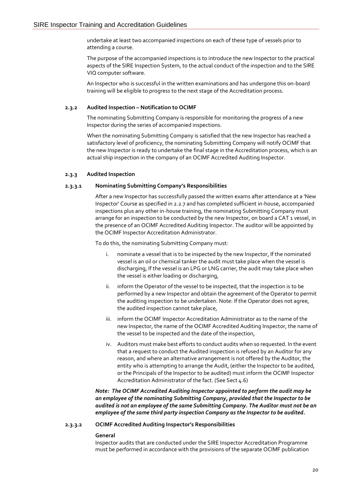undertake at least two accompanied inspections on each of these type of vessels prior to attending a course.

The purpose of the accompanied inspections is to introduce the new Inspector to the practical aspects of the SIRE Inspection System, to the actual conduct of the inspection and to the SIRE VIQ computer software.

An Inspector who is successful in the written examinations and has undergone this on-board training will be eligible to progress to the next stage of the Accreditation process.

#### **2.3.2 Audited Inspection – Notification to OCIMF**

The nominating Submitting Company is responsible for monitoring the progress of a new Inspector during the series of accompanied inspections.

When the nominating Submitting Company is satisfied that the new Inspector has reached a satisfactory level of proficiency, the nominating Submitting Company will notify OCIMF that the new Inspector is ready to undertake the final stage in the Accreditation process, which is an actual ship inspection in the company of an OCIMF Accredited Auditing Inspector.

#### **2.3.3 Audited Inspection**

#### **2.3.3.1 Nominating Submitting Company's Responsibilities**

After a new Inspector has successfully passed the written exams after attendance at a 'New Inspector' Course as specified in 2.2.7 and has completed sufficient in-house, accompanied inspections plus any other in-house training, the nominating Submitting Company must arrange for an inspection to be conducted by the new Inspector, on board a CAT 1 vessel, in the presence of an OCIMF Accredited Auditing Inspector. The auditor will be appointed by the OCIMF Inspector Accreditation Administrator.

To do this, the nominating Submitting Company must:

- i. nominate a vessel that is to be inspected by the new Inspector, If the nominated vessel is an oil or chemical tanker the audit must take place when the vessel is discharging, If the vessel is an LPG or LNG carrier, the audit may take place when the vessel is either loading or discharging,
- ii. inform the Operator of the vessel to be inspected, that the inspection is to be performed by a new Inspector and obtain the agreement of the Operator to permit the auditing inspection to be undertaken. Note: If the Operator does not agree, the audited inspection cannot take place,
- iii. inform the OCIMF Inspector Accreditation Administrator as to the name of the new Inspector, the name of the OCIMF Accredited Auditing Inspector, the name of the vessel to be inspected and the date of the inspection,
- iv. Auditors must make best efforts to conduct audits when so requested. In the event that a request to conduct the Audited inspection is refused by an Auditor for any reason, and where an alternative arrangement is not offered by the Auditor, the entity who is attempting to arrange the Audit, (either the Inspector to be audited, or the Principals of the Inspector to be audited) must inform the OCIMF Inspector Accreditation Administrator of the fact. (See Sect 4.6)

*Note: The OCIMF Accredited Auditing Inspector appointed to perform the audit may be an employee of the nominating Submitting Company, provided that the Inspector to be audited is not an employee of the same Submitting Company. The Auditor must not be an employee of the same third party inspection Company as the Inspector to be audited.*

#### **2.3.3.2 OCIMF Accredited Auditing Inspector's Responsibilities**

#### **General**

Inspector audits that are conducted under the SIRE Inspector Accreditation Programme must be performed in accordance with the provisions of the separate OCIMF publication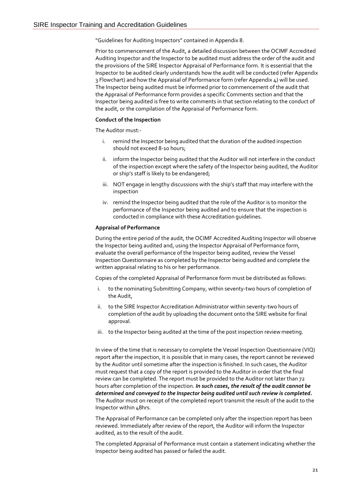"Guidelines for Auditing Inspectors" contained in Appendix 8.

Prior to commencement of the Audit, a detailed discussion between the OCIMF Accredited Auditing Inspector and the Inspector to be audited must address the order of the audit and the provisions of the SIRE Inspector Appraisal of Performance form. It is essential that the Inspector to be audited clearly understands how the audit will be conducted (refer Appendix 3 Flowchart) and how the Appraisal of Performance form (refer Appendix 4) will be used. The Inspector being audited must be informed prior to commencement of the audit that the Appraisal of Performance form provides a specific Comments section and that the Inspector being audited is free to write comments in that section relating to the conduct of the audit, or the compilation of the Appraisal of Performance form.

#### **Conduct of the Inspection**

The Auditor must:-

- i. remind the Inspector being audited that the duration of the audited inspection should not exceed 8-10 hours;
- ii. inform the Inspector being audited that the Auditor will not interfere in the conduct of the inspection except where the safety of the Inspector being audited, the Auditor or ship's staff is likely to be endangered;
- iii. NOT engage in lengthy discussions with the ship's staff that may interfere with the inspection
- iv. remind the Inspector being audited that the role of the Auditor is to monitor the performance of the Inspector being audited and to ensure that the inspection is conducted in compliance with these Accreditation guidelines.

#### **Appraisal of Performance**

During the entire period of the audit, the OCIMF Accredited Auditing Inspector will observe the Inspector being audited and, using the Inspector Appraisal of Performance form, evaluate the overall performance of the Inspector being audited, review the Vessel Inspection Questionnaire as completed by the Inspector being audited and complete the written appraisal relating to his or her performance.

Copies of the completed Appraisal of Performance form must be distributed as follows:

- i. to the nominating Submitting Company, within seventy-two hours of completion of the Audit,
- ii. to the SIRE Inspector Accreditation Administrator within seventy-two hours of completion of the audit by uploading the document onto the SIRE website for final approval.
- iii. to the Inspector being audited at the time of the post inspection reviewmeeting.

In view of the time that is necessary to complete the Vessel Inspection Questionnaire (VIQ) report after the inspection, it is possible that in many cases, the report cannot be reviewed by the Auditor until sometime after the inspection is finished. In such cases, the Auditor must request that a copy of the report is provided to the Auditor in order that the final review can be completed. The report must be provided to the Auditor not later than 72 hours after completion of the inspection. *In such cases, the result of the audit cannot be determined and conveyed to the Inspector being audited until such review is completed.*  The Auditor must on receipt of the completed report transmit the result of the audit to the Inspector within 48hrs.

The Appraisal of Performance can be completed only after the inspection report has been reviewed. Immediately after review of the report, the Auditor will inform the Inspector audited, as to the result of the audit.

The completed Appraisal of Performance must contain a statement indicating whether the Inspector being audited has passed or failed the audit.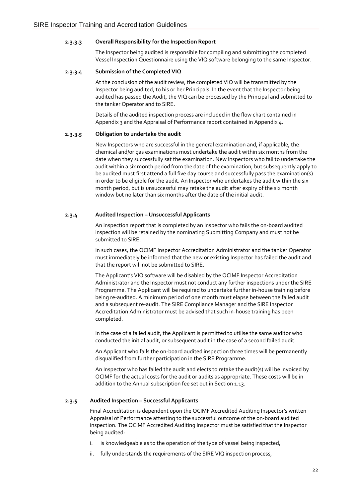#### **2.3.3.3 Overall Responsibility for the Inspection Report**

The Inspector being audited is responsible for compiling and submitting the completed Vessel Inspection Questionnaire using the VIQ software belonging to the same Inspector.

#### **2.3.3.4 Submission of the Completed VIQ**

At the conclusion of the audit review, the completed VIQ will be transmitted by the Inspector being audited, to his or her Principals. In the event that the Inspector being audited has passed the Audit, the VIQ can be processed by the Principal and submitted to the tanker Operator and to SIRE.

Details of the audited inspection process are included in the flow chart contained in Appendix 3 and the Appraisal of Performance report contained in Appendix 4.

#### **2.3.3.5 Obligation to undertake the audit**

New Inspectors who are successful in the general examination and, if applicable, the chemical and/or gas examinations must undertake the audit within six months from the date when they successfully sat the examination. New Inspectors who fail to undertake the audit within a six month period from the date of the examination, but subsequently apply to be audited must first attend a full five day course and successfully pass the examination(s) in order to be eligible for the audit. An Inspector who undertakes the audit within the six month period, but is unsuccessful may retake the audit after expiry of the six month window but no later than six months after the date of the initial audit.

#### **2.3.4 Audited Inspection – Unsuccessful Applicants**

An inspection report that is completed by an Inspector who fails the on-board audited inspection will be retained by the nominating Submitting Company and must not be submitted to SIRE.

In such cases, the OCIMF Inspector Accreditation Administrator and the tanker Operator must immediately be informed that the new or existing Inspector has failed the audit and that the report will not be submitted to SIRE.

The Applicant's VIQ software will be disabled by the OCIMF Inspector Accreditation Administrator and the Inspector must not conduct any further inspections under the SIRE Programme. The Applicant will be required to undertake further in-house training before being re-audited. A minimum period of one month must elapse between the failed audit and a subsequent re-audit. The SIRE Compliance Manager and the SIRE Inspector Accreditation Administrator must be advised that such in-house training has been completed.

In the case of a failed audit, the Applicant is permitted to utilise the same auditor who conducted the initial audit, or subsequent audit in the case of a second failed audit.

An Applicant who fails the on-board audited inspection three times will be permanently disqualified from further participation in the SIRE Programme.

An Inspector who has failed the audit and elects to retake the audit(s) will be invoiced by OCIMF for the actual costs for the audit or audits as appropriate. These costs will be in addition to the Annual subscription fee set out in Section 1.13.

#### **2.3.5 Audited Inspection – Successful Applicants**

Final Accreditation is dependent upon the OCIMF Accredited Auditing Inspector's written Appraisal of Performance attesting to the successful outcome of the on-board audited inspection. The OCIMF Accredited Auditing Inspector must be satisfied that the Inspector being audited:

- i. is knowledgeable as to the operation of the type of vessel being inspected,
- ii. fully understands the requirements of the SIRE VIQ inspection process,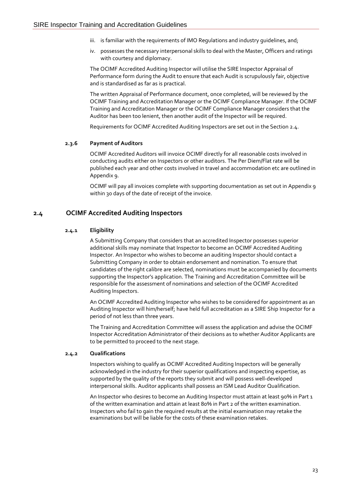- iii. is familiar with the requirements of IMO Requlations and industry quidelines, and;
- iv. possesses the necessary interpersonal skills to deal with the Master, Officers and ratings with courtesy and diplomacy.

The OCIMF Accredited Auditing Inspector will utilise the SIRE Inspector Appraisal of Performance form during the Audit to ensure that each Audit is scrupulously fair, objective and is standardised as far as is practical.

The written Appraisal of Performance document, once completed, will be reviewed by the OCIMF Training and Accreditation Manager or the OCIMF Compliance Manager. If the OCIMF Training and Accreditation Manager or the OCIMF Compliance Manager considers that the Auditor has been too lenient, then another audit of the Inspector will be required.

Requirements for OCIMF Accredited Auditing Inspectors are set out in the Section 2.4.

#### **2.3.6 Payment of Auditors**

OCIMF Accredited Auditors will invoice OCIMF directly for all reasonable costs involved in conducting audits either on Inspectors or other auditors. The Per Diem/Flat rate will be published each year and other costs involved in travel and accommodation etc are outlined in Appendix 9.

OCIMF will pay all invoices complete with supporting documentation as set out in Appendix 9 within 30 days of the date of receipt of the invoice.

## **2.4 OCIMF Accredited Auditing Inspectors**

#### **2.4.1 Eligibility**

A Submitting Company that considers that an accredited Inspector possesses superior additional skills may nominate that Inspector to become an OCIMF Accredited Auditing Inspector. An Inspector who wishes to become an auditing Inspector should contact a Submitting Company in order to obtain endorsement and nomination. To ensure that candidates of the right calibre are selected, nominations must be accompanied by documents supporting the Inspector's application. The Training and Accreditation Committee will be responsible for the assessment of nominations and selection of the OCIMF Accredited Auditing Inspectors.

An OCIMF Accredited Auditing Inspector who wishes to be considered for appointment as an Auditing Inspector will him/herself; have held full accreditation as a SIRE Ship Inspector for a period of not less than three years.

The Training and Accreditation Committee will assess the application and advise the OCIMF Inspector Accreditation Administrator of their decisions as to whether Auditor Applicants are to be permitted to proceed to the next stage.

#### **2.4.2 Qualifications**

Inspectors wishing to qualify as OCIMF Accredited Auditing Inspectors will be generally acknowledged in the industry for their superior qualifications and inspecting expertise, as supported by the quality of the reports they submit and will possess well-developed interpersonal skills. Auditor applicants shall possess an ISM Lead Auditor Qualification.

An Inspector who desires to become an Auditing Inspector must attain at least 90% in Part 1 of the written examination and attain at least 80% in Part 2 of the written examination. Inspectors who fail to gain the required results at the initial examination may retake the examinations but will be liable for the costs of these examination retakes.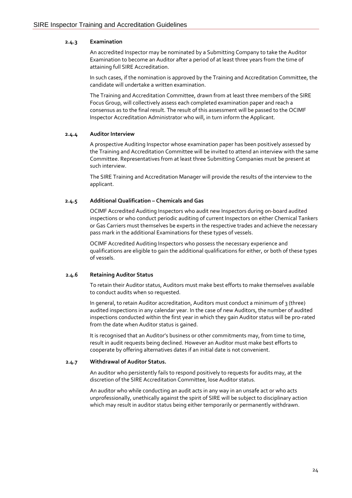#### **2.4.3 Examination**

An accredited Inspector may be nominated by a Submitting Company to take the Auditor Examination to become an Auditor after a period of at least three years from the time of attaining full SIRE Accreditation.

In such cases, if the nomination is approved by the Training and Accreditation Committee, the candidate will undertake a written examination.

The Training and Accreditation Committee, drawn from at least three members of the SIRE Focus Group, will collectively assess each completed examination paper and reach a consensus as to the final result. The result of this assessment will be passed to the OCIMF Inspector Accreditation Administrator who will, in turn inform the Applicant.

#### **2.4.4 Auditor Interview**

A prospective Auditing Inspector whose examination paper has been positively assessed by the Training and Accreditation Committee will be invited to attend an interview with the same Committee. Representatives from at least three Submitting Companies must be present at such interview.

The SIRE Training and Accreditation Manager will provide the results of the interview to the applicant.

#### **2.4.5 Additional Qualification – Chemicals and Gas**

OCIMF Accredited Auditing Inspectors who audit new Inspectors during on-board audited inspections or who conduct periodic auditing of current Inspectors on either Chemical Tankers or Gas Carriers must themselves be experts in the respective trades and achieve the necessary pass mark in the additional Examinations for these types of vessels.

OCIMF Accredited Auditing Inspectors who possess the necessary experience and qualifications are eligible to gain the additional qualifications for either, or both of these types of vessels.

#### **2.4.6 Retaining Auditor Status**

To retain their Auditor status, Auditors must make best efforts to make themselves available to conduct audits when so requested.

In general, to retain Auditor accreditation, Auditors must conduct a minimum of 3 (three) audited inspections in any calendar year. In the case of new Auditors, the number of audited inspections conducted within the first year in which they gain Auditor status will be pro-rated from the date when Auditor status is gained.

It is recognised that an Auditor's business or other commitments may, from time to time, result in audit requests being declined. However an Auditor must make best efforts to cooperate by offering alternatives dates if an initial date is not convenient.

#### **2.4.7 Withdrawal of Auditor Status.**

An auditor who persistently fails to respond positively to requests for audits may, at the discretion of the SIRE Accreditation Committee, lose Auditor status.

An auditor who while conducting an audit acts in any way in an unsafe act or who acts unprofessionally, unethically against the spirit of SIRE will be subject to disciplinary action which may result in auditor status being either temporarily or permanently withdrawn.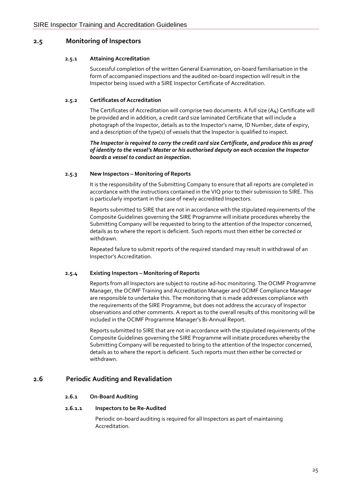## **2.5 Monitoring of Inspectors**

#### **2.5.1 Attaining Accreditation**

Successful completion of the written General Examination, on-board familiarisation in the form of accompanied inspections and the audited on-board inspection will result in the Inspector being issued with a SIRE Inspector Certificate of Accreditation.

#### **2.5.2 Certificates of Accreditation**

The Certificates of Accreditation will comprise two documents. A full size (A4) Certificate will be provided and in addition, a credit card size laminated Certificate that will include a photograph of the Inspector, details as to the Inspector's name, ID Number, date of expiry, and a description of the type(s) of vessels that the Inspector is qualified to inspect.

#### *The Inspector is required to carry the credit card size Certificate, and produce this as proof of identity to the vessel's Master or his authorised deputy on each occasion the Inspector boards a vessel to conduct an inspection.*

#### **2.5.3 New Inspectors – Monitoring of Reports**

It is the responsibility of the Submitting Company to ensure that all reports are completed in accordance with the instructions contained in the VIQ prior to their submission to SIRE. This is particularly important in the case of newly accredited Inspectors.

Reports submitted to SIRE that are not in accordance with the stipulated requirements of the Composite Guidelines governing the SIRE Programme will initiate procedures whereby the Submitting Company will be requested to bring to the attention of the Inspector concerned, details as to where the report is deficient. Such reports must then either be corrected or withdrawn.

Repeated failure to submit reports of the required standard may result in withdrawal of an Inspector's Accreditation.

#### **2.5.4 Existing Inspectors – Monitoring of Reports**

Reports from all Inspectors are subject to routine ad-hoc monitoring. The OCIMF Programme Manager, the OCIMF Training and Accreditation Manager and OCIMF Compliance Manager are responsible to undertake this. The monitoring that is made addresses compliance with the requirements of the SIRE Programme, but does not address the accuracy of Inspector observations and other comments. A report as to the overall results of this monitoring will be included in the OCIMF Programme Manager's Bi-Annual Report.

Reports submitted to SIRE that are not in accordance with the stipulated requirements of the Composite Guidelines governing the SIRE Programme will initiate procedures whereby the Submitting Company will be requested to bring to the attention of the Inspector concerned, details as to where the report is deficient. Such reports must then either be corrected or withdrawn.

## **2.6 Periodic Auditing and Revalidation**

#### **2.6.1 On-Board Auditing**

#### **2.6.1.1 Inspectors to be Re-Audited**

Periodic on-board auditing is required for all Inspectors as part of maintaining Accreditation.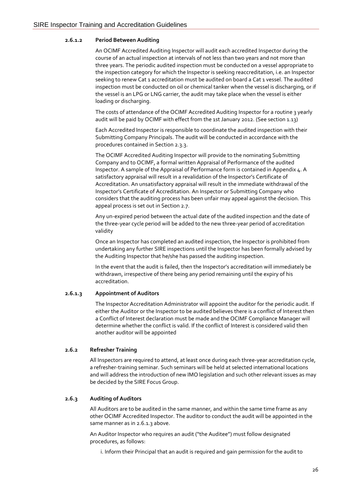#### **2.6.1.2 Period Between Auditing**

An OCIMF Accredited Auditing Inspector will audit each accredited Inspector during the course of an actual inspection at intervals of not less than two years and not more than three years. The periodic audited inspection must be conducted on a vessel appropriate to the inspection category for which the Inspector is seeking reaccreditation, i.e. an Inspector seeking to renew Cat 1 accreditation must be audited on board a Cat 1 vessel. The audited inspection must be conducted on oil or chemical tanker when the vessel is discharging, or if the vessel is an LPG or LNG carrier, the audit may take place when the vessel is either loading or discharging.

The costs of attendance of the OCIMF Accredited Auditing Inspector for a routine 3 yearly audit will be paid by OCIMF with effect from the 1st January 2012. (See section 1.13)

Each Accredited Inspector is responsible to coordinate the audited inspection with their Submitting Company Principals. The audit will be conducted in accordance with the procedures contained in Section 2.3.3.

The OCIMF Accredited Auditing Inspector will provide to the nominating Submitting Company and to OCIMF, a formal written Appraisal of Performance of the audited Inspector. A sample of the Appraisal of Performance form is contained in Appendix 4. A satisfactory appraisal will result in a revalidation of the Inspector's Certificate of Accreditation. An unsatisfactory appraisal will result in the immediate withdrawal of the Inspector's Certificate of Accreditation. An Inspector or Submitting Company who considers that the auditing process has been unfair may appeal against the decision. This appeal process is set out in Section 2.7.

Any un-expired period between the actual date of the audited inspection and the date of the three-year cycle period will be added to the new three-year period of accreditation validity

Once an Inspector has completed an audited inspection, the Inspector is prohibited from undertaking any further SIRE inspections until the Inspector has been formally advised by the Auditing Inspector that he/she has passed the auditing inspection.

In the event that the audit is failed, then the Inspector's accreditation will immediately be withdrawn, irrespective of there being any period remaining until the expiry of his accreditation.

#### **2.6.1.3 Appointment of Auditors**

The Inspector Accreditation Administrator will appoint the auditor for the periodic audit. If either the Auditor or the Inspector to be audited believes there is a conflict of Interest then a Conflict of Interest declaration must be made and the OCIMF Compliance Manager will determine whether the conflict is valid. If the conflict of Interest is considered valid then another auditor will be appointed

#### **2.6.2 Refresher Training**

All Inspectors are required to attend, at least once during each three-year accreditation cycle, a refresher-training seminar. Such seminars will be held at selected international locations and will address the introduction of new IMO legislation and such other relevant issues as may be decided by the SIRE Focus Group.

#### **2.6.3 Auditing of Auditors**

All Auditors are to be audited in the same manner, and within the same time frame as any other OCIMF Accredited Inspector. The auditor to conduct the audit will be appointed in the same manner as in 2.6.1.3 above.

An Auditor Inspector who requires an audit ("the Auditee") must follow designated procedures, as follows:

i. Inform their Principal that an audit is required and gain permission for the audit to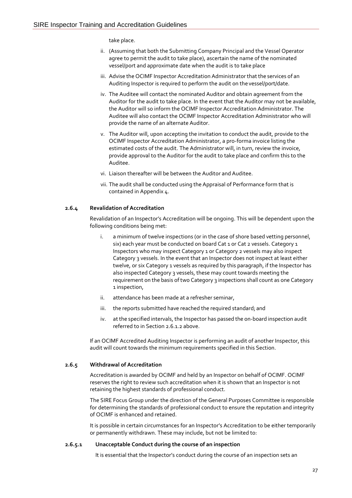take place.

- ii. (Assuming that both the Submitting Company Principal and the Vessel Operator agree to permit the audit to take place), ascertain the name of the nominated vessel/port and approximate date when the audit is to take place
- iii. Advise the OCIMF Inspector Accreditation Administrator that the services of an Auditing Inspector is required to perform the audit on thevessel/port/date.
- iv. The Auditee will contact the nominated Auditor and obtain agreement from the Auditor for the audit to take place. In the event that the Auditor may not be available, the Auditor will so inform the OCIMF Inspector Accreditation Administrator. The Auditee will also contact the OCIMF Inspector Accreditation Administrator who will provide the name of an alternate Auditor.
- v. The Auditor will, upon accepting the invitation to conduct the audit, provide to the OCIMF Inspector Accreditation Administrator, a pro-forma invoice listing the estimated costs of the audit. The Administrator will, in turn, review the invoice, provide approval to the Auditor for the audit to take place and confirm this to the Auditee.
- vi. Liaison thereafter will be between the Auditor and Auditee.
- vii. The audit shall be conducted using the Appraisal of Performance form that is contained in Appendix 4.

#### **2.6.4 Revalidation of Accreditation**

Revalidation of an Inspector's Accreditation will be ongoing. This will be dependent upon the following conditions being met:

- i. a minimum of twelve inspections (or in the case of shore based vetting personnel, six) each year must be conducted on board Cat 1 or Cat 2 vessels. Category 1 Inspectors who may inspect Category 1 or Category 2 vessels may also inspect Category 3 vessels. In the event that an Inspector does not inspect at least either twelve, or six Category 1 vessels as required by this paragraph, if the Inspector has also inspected Category 3 vessels, these may count towards meeting the requirement on the basis oftwo Category 3 inspections shall count as one Category 1 inspection,
- ii. attendance has been made at a refresher seminar,
- iii. the reports submitted have reached the required standard; and
- iv. at the specified intervals, the Inspector has passed the on-board inspection audit referred to in Section 2.6.1.2 above.

If an OCIMF Accredited Auditing Inspector is performing an audit of another Inspector, this audit will count towards the minimum requirements specified in this Section.

#### **2.6.5 Withdrawal of Accreditation**

Accreditation is awarded by OCIMF and held by an Inspector on behalf of OCIMF. OCIMF reserves the right to review such accreditation when it is shown that an Inspector is not retaining the highest standards of professional conduct.

The SIRE Focus Group under the direction of the General Purposes Committee is responsible for determining the standards of professional conduct to ensure the reputation and integrity of OCIMF is enhanced and retained.

It is possible in certain circumstances for an Inspector's Accreditation to be either temporarily or permanently withdrawn. These may include, but not be limited to:

#### **2.6.5.1 Unacceptable Conduct during the course of an inspection**

It is essential that the Inspector's conduct during the course of an inspection sets an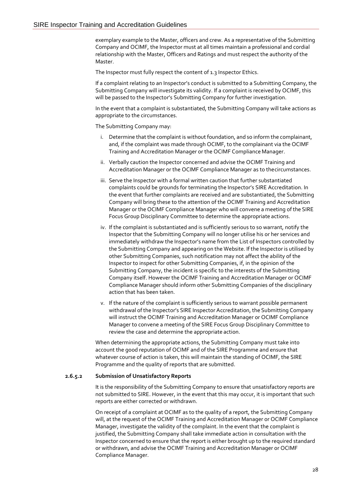exemplary example to the Master, officers and crew. As a representative of the Submitting Company and OCIMF, the Inspector must at all times maintain a professional and cordial relationship with the Master, Officers and Ratings and must respect the authority of the Master.

The Inspector must fully respect the content of 1.3 Inspector Ethics.

If a complaint relating to an Inspector's conduct is submitted to a Submitting Company, the Submitting Company will investigate its validity. If a complaint is received by OCIMF, this will be passed to the Inspector's Submitting Company for further investigation.

In the event that a complaint is substantiated, the Submitting Company will take actions as appropriate to the circumstances.

The Submitting Company may:

- i. Determine that the complaint is without foundation, and so inform the complainant, and, if the complaint was made through OCIMF, to the complainant via the OCIMF Training and Accreditation Manager or the OCIMF Compliance Manager.
- ii. Verbally caution the Inspector concerned and advise the OCIMF Training and Accreditation Manager or the OCIMF Compliance Manager as to thecircumstances.
- iii. Serve the Inspector with a formal written caution that further substantiated complaints could be grounds for terminating the Inspector's SIRE Accreditation. In the event that further complaints are received and are substantiated, the Submitting Company will bring these to the attention of the OCIMF Training and Accreditation Manager or the OCIMF Compliance Manager who will convene a meeting of the SIRE Focus Group Disciplinary Committee to determine the appropriate actions.
- iv. If the complaint is substantiated and is sufficiently serious to so warrant, notify the Inspector that the Submitting Company will no longer utilise his or her services and immediately withdraw the Inspector's name from the List of Inspectors controlled by the Submitting Company and appearing on the Website. If the Inspector is utilised by other Submitting Companies, such notification may not affect the ability of the Inspector to inspect for other Submitting Companies, if, in the opinion of the Submitting Company, the incident is specific to the interests of the Submitting Company itself. However the OCIMF Training and Accreditation Manager or OCIMF Compliance Manager should inform other Submitting Companies of the disciplinary action that has been taken.
- v. If the nature of the complaint is sufficiently serious to warrant possible permanent withdrawal ofthe Inspector's SIRE Inspector Accreditation, the Submitting Company will instruct the OCIMF Training and Accreditation Manager or OCIMF Compliance Manager to convene a meeting of the SIRE Focus Group Disciplinary Committee to review the case and determine the appropriate action.

When determining the appropriate actions, the Submitting Company must take into account the good reputation of OCIMF and of the SIRE Programme and ensure that whatever course of action is taken, this will maintain the standing of OCIMF, the SIRE Programme and the quality of reports that are submitted.

#### **2.6.5.2 Submission of Unsatisfactory Reports**

It is the responsibility of the Submitting Company to ensure that unsatisfactory reports are not submitted to SIRE. However, in the event that this may occur, it is important that such reports are either corrected or withdrawn.

On receipt of a complaint at OCIMF as to the quality of a report, the Submitting Company will, at the request of the OCIMF Training and Accreditation Manager or OCIMF Compliance Manager, investigate the validity of the complaint. In the event that the complaint is justified, the Submitting Company shall take immediate action in consultation with the Inspector concerned to ensure that the report is either brought up to the required standard or withdrawn, and advise the OCIMF Training and Accreditation Manager or OCIMF Compliance Manager.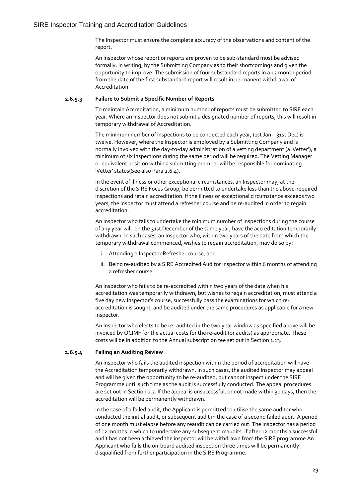The Inspector must ensure the complete accuracy of the observations and content of the report.

An Inspector whose report or reports are proven to be sub-standard must be advised formally, in writing, by the Submitting Company as to their shortcomings and given the opportunity to improve. The submission of four substandard reports in a 12 month period from the date of the first substandard report will result in permanent withdrawal of Accreditation.

#### **2.6.5.3 Failure to Submit a Specific Number of Reports**

To maintain Accreditation, a minimum number of reports must be submitted to SIRE each year. Where an Inspector does not submit a designated number of reports, this will result in temporary withdrawal of Accreditation.

The minimum number of inspections to be conducted each year, (1st Jan  $-$  31st Dec) is twelve. However, where the Inspector is employed by a Submitting Company and is normally involved with the day-to-day administration of a vetting department (a 'Vetter'), a minimum of six inspections during the same period will be required. The Vetting Manager or equivalent position within a submitting member will be responsible for nominating 'Vetter' status(See also Para 2.6.4).

In the event of illness or other exceptional circumstances, an Inspector may, at the discretion of the SIRE Focus Group, be permitted to undertake less than the above-required inspections and retain accreditation. If the illness or exceptional circumstance exceeds two years, the Inspector must attend a refresher course and be re-audited in order to regain accreditation.

An Inspector who fails to undertake the minimum number of inspections during the course of any year will, on the 31st December of the same year, have the accreditation temporarily withdrawn. In such cases, an Inspector who, within two years of the date from which the temporary withdrawal commenced, wishes to regain accreditation, may do so by:

- i. Attending a Inspector Refresher course, and
- ii. Being re-audited by a SIRE Accredited Auditor Inspector within 6 months of attending a refresher course.

An Inspector who fails to be re-accredited within two years of the date when his accreditation was temporarily withdrawn, but wishes to regain accreditation, must attend a five day new Inspector's course, successfully pass the examinations for which reaccreditation is sought, and be audited under the same procedures as applicable for a new Inspector.

An Inspector who elects to be re- audited in the two year window as specified above will be invoiced by OCIMF for the actual costs for the re-audit (or audits) as appropriate. These costs will be in addition to the Annual subscription fee set out in Section 1.13.

#### **2.6.5.4 Failing an Auditing Review**

An Inspector who fails the audited inspection within the period of accreditation will have the Accreditation temporarily withdrawn. In such cases, the audited Inspector may appeal and will be given the opportunity to be re-audited, but cannot inspect under the SIRE Programme until such time as the audit is successfully conducted. The appeal procedures are set out in Section 2.7. If the appeal is unsuccessful, or not made within 30 days, then the accreditation will be permanently withdrawn.

In the case of a failed audit, the Applicant is permitted to utilise the same auditor who conducted the initial audit, or subsequent audit in the case of a second failed audit. A period of one month must elapse before any reaudit can be carried out. The inspector has a period of 12 months in which to undertake any subsequent reaudits. If after 12 months a successful audit has not been achieved the inspector will be withdrawn from the SIRE programme An Applicant who fails the on-board audited inspection three times will be permanently disqualified from further participation in the SIRE Programme.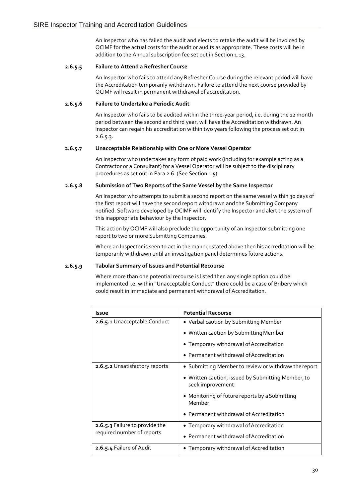An Inspector who has failed the audit and elects to retake the audit will be invoiced by OCIMF for the actual costs for the audit or audits as appropriate. These costs will be in addition to the Annual subscription fee set out in Section 1.13.

#### **2.6.5.5 Failure to Attend a Refresher Course**

An Inspector who fails to attend any Refresher Course during the relevant period will have the Accreditation temporarily withdrawn. Failure to attend the next course provided by OCIMF will result in permanent withdrawal of accreditation.

#### **2.6.5.6 Failure to Undertake a Periodic Audit**

An Inspector who fails to be audited within the three-year period, i.e. during the 12 month period between the second and third year, will have the Accreditation withdrawn. An Inspector can regain his accreditation within two years following the process set out in 2.6.5.3.

#### **2.6.5.7 Unacceptable Relationship with One or More Vessel Operator**

An Inspector who undertakes any form of paid work (including for example acting as a Contractor or a Consultant) for a Vessel Operator will be subject to the disciplinary procedures as set out in Para 2.6. (See Section 1.5).

#### **2.6.5.8 Submission of Two Reports of the Same Vessel by the Same Inspector**

An Inspector who attempts to submit a second report on the same vessel within 30 days of the first report will have the second report withdrawn and the Submitting Company notified. Software developed by OCIMF will identify the Inspector and alert the system of this inappropriate behaviour by the Inspector.

This action by OCIMF will also preclude the opportunity of an Inspector submitting one report to two or more Submitting Companies.

Where an Inspector is seen to act in the manner stated above then his accreditation will be temporarily withdrawn until an investigation panel determines future actions.

#### **2.6.5.9 Tabular Summary of Issues and Potential Recourse**

Where more than one potential recourse is listed then any single option could be implemented i.e. within "Unacceptable Conduct" there could be a case of Bribery which could result in immediate and permanent withdrawal of Accreditation.

| Issue                          | <b>Potential Recourse</b>                                              |  |
|--------------------------------|------------------------------------------------------------------------|--|
| 2.6.5.1 Unacceptable Conduct   | • Verbal caution by Submitting Member                                  |  |
|                                | • Written caution by Submitting Member                                 |  |
|                                | • Temporary withdrawal of Accreditation                                |  |
|                                | • Permanent withdrawal of Accreditation                                |  |
| 2.6.5.2 Unsatisfactory reports | • Submitting Member to review or withdraw the report                   |  |
|                                | • Written caution, issued by Submitting Member, to<br>seek improvement |  |
|                                | • Monitoring of future reports by a Submitting<br>Member               |  |
|                                | • Permanent withdrawal of Accreditation                                |  |
| 2.6.5.3 Failure to provide the | • Temporary withdrawal of Accreditation                                |  |
| required number of reports     | • Permanent withdrawal of Accreditation                                |  |
| 2.6.5.4 Failure of Audit       | • Temporary withdrawal of Accreditation                                |  |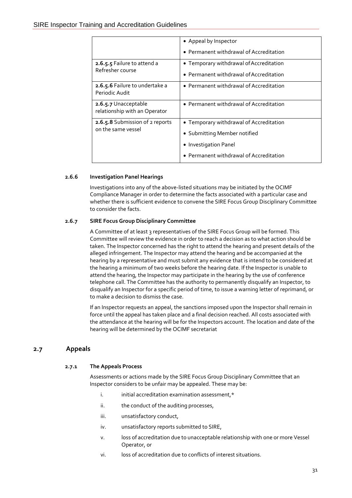|                                                       | • Appeal by Inspector                   |  |  |
|-------------------------------------------------------|-----------------------------------------|--|--|
|                                                       | • Permanent withdrawal of Accreditation |  |  |
| 2.6.5.5 Failure to attend a                           | • Temporary withdrawal of Accreditation |  |  |
| Refresher course                                      | • Permanent withdrawal of Accreditation |  |  |
| 2.6.5.6 Failure to undertake a<br>Periodic Audit      | • Permanent withdrawal of Accreditation |  |  |
| 2.6.5.7 Unacceptable<br>relationship with an Operator | • Permanent withdrawal of Accreditation |  |  |
| 2.6.5.8 Submission of 2 reports                       | • Temporary withdrawal of Accreditation |  |  |
| on the same vessel                                    | • Submitting Member notified            |  |  |
|                                                       | • Investigation Panel                   |  |  |
|                                                       | • Permanent withdrawal of Accreditation |  |  |

#### **2.6.6 Investigation Panel Hearings**

Investigations into any of the above-listed situations may be initiated by the OCIMF Compliance Manager in order to determine the facts associated with a particular case and whether there is sufficient evidence to convene the SIRE Focus Group Disciplinary Committee to consider the facts.

#### **2.6.7 SIRE Focus Group Disciplinary Committee**

A Committee of at least 3 representatives of the SIRE Focus Group will be formed. This Committee will review the evidence in order to reach a decision as to what action should be taken. The Inspector concerned has the right to attend the hearing and present details of the alleged infringement. The Inspector may attend the hearing and be accompanied at the hearing by a representative and must submit any evidence that is intend to be considered at the hearing a minimum of two weeks before the hearing date. If the Inspector is unable to attend the hearing, the Inspector may participate in the hearing by the use of conference telephone call. The Committee has the authority to permanently disqualify an Inspector, to disqualify an Inspector for a specific period of time, to issue a warning letter of reprimand, or to make a decision to dismiss the case.

If an Inspector requests an appeal, the sanctions imposed upon the Inspector shall remain in force until the appeal has taken place and a final decision reached. All costs associated with the attendance at the hearing will be for the Inspectors account. The location and date of the hearing will be determined by the OCIMF secretariat

## **2.7 Appeals**

#### **2.7.1 The Appeals Process**

Assessments or actions made by the SIRE Focus Group Disciplinary Committee that an Inspector considers to be unfair may be appealed. These may be:

- i. initial accreditation examination assessment,\*
- ii. the conduct of the auditing processes,
- iii. unsatisfactory conduct,
- iv. unsatisfactory reports submitted to SIRE,
- v. loss of accreditation due to unacceptable relationship with one or more Vessel Operator, or
- vi. loss of accreditation due to conflicts of interest situations.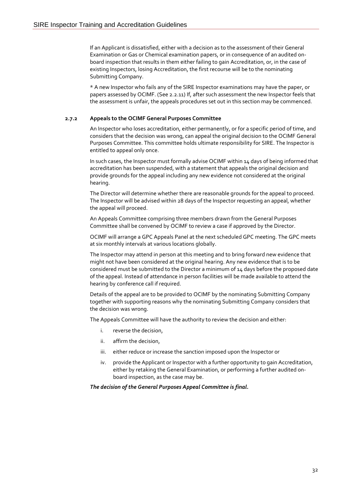If an Applicant is dissatisfied, either with a decision as to the assessment of their General Examination or Gas or Chemical examination papers, or in consequence of an audited onboard inspection that results in them either failing to gain Accreditation, or, in the case of existing Inspectors, losing Accreditation, the first recourse will be to the nominating Submitting Company.

\* A new Inspector who fails any of the SIRE Inspector examinations may have the paper, or papers assessed by OCIMF. (See 2.2.11) If, after such assessment the new Inspector feels that the assessment is unfair, the appeals procedures set out in this section may be commenced.

#### **2.7.2 Appeals to the OCIMF General Purposes Committee**

An Inspector who loses accreditation, either permanently, or for a specific period of time, and considers that the decision was wrong, can appeal the original decision to the OCIMF General Purposes Committee. This committee holds ultimate responsibility for SIRE. The Inspector is entitled to appeal only once.

In such cases, the Inspector must formally advise OCIMF within 14 days of being informed that accreditation has been suspended, with a statement that appeals the original decision and provide grounds for the appeal including any new evidence not considered at the original hearing.

The Director will determine whether there are reasonable grounds for the appeal to proceed. The Inspector will be advised within 28 days of the Inspector requesting an appeal, whether the appeal will proceed.

An Appeals Committee comprising three members drawn from the General Purposes Committee shall be convened by OCIMF to review a case if approved by the Director.

OCIMF will arrange a GPC Appeals Panel at the next scheduled GPC meeting. The GPC meets at six monthly intervals at various locations globally.

The Inspector may attend in person at this meeting and to bring forward new evidence that might not have been considered at the original hearing. Any new evidence that is to be considered must be submitted to the Director a minimum of 14 days before the proposed date of the appeal. Instead of attendance in person facilities will be made available to attend the hearing by conference call if required.

Details of the appeal are to be provided to OCIMF by the nominating Submitting Company together with supporting reasons why the nominating Submitting Company considers that the decision was wrong.

The Appeals Committee will have the authority to review the decision and either:

- i. reverse the decision,
- ii. affirm the decision,
- iii. either reduce or increase the sanction imposed upon the Inspector or
- iv. provide the Applicant or Inspector with a further opportunity to gain Accreditation, either by retaking the General Examination, or performing a further audited onboard inspection, as the case may be.

#### *The decision of the General Purposes Appeal Committee is final.*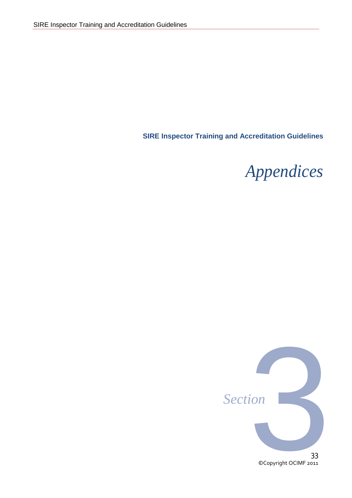**SIRE Inspector Training and Accreditation Guidelines**

## *Appendices*

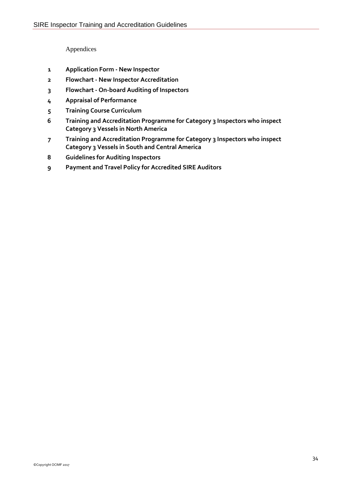Appendices

- **Application Form - New Inspector**
- **Flowchart - New Inspector Accreditation**
- **Flowchart - On-board Auditing of Inspectors**
- **Appraisal of Performance**
- **Training Course Curriculum**
- **Training and Accreditation Programme for Category 3 Inspectors who inspect Category 3 Vessels in North America**
- **Training and Accreditation Programme for Category 3 Inspectors who inspect Category 3 Vessels in South and Central America**
- **Guidelines for Auditing Inspectors**
- **Payment and Travel Policy for Accredited SIRE Auditors**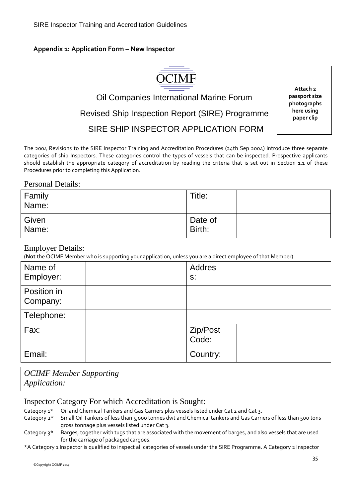## **Appendix 1: Application Form – New Inspector**



## Oil Companies International Marine Forum Revised Ship Inspection Report (SIRE) Programme SIRE SHIP INSPECTOR APPLICATION FORM

**Attach 2 passport size photographs here using paper clip**

The 2004 Revisions to the SIRE Inspector Training and Accreditation Procedures (24th Sep 2004) introduce three separate categories of ship Inspectors. These categories control the types of vessels that can be inspected. Prospective applicants should establish the appropriate category of accreditation by reading the criteria that is set out in Section 1.1 of these Procedures prior to completing this Application.

## Personal Details:

| Family<br>Name: | Title:            |  |
|-----------------|-------------------|--|
| Given<br>Name:  | Date of<br>Birth: |  |

## Employer Details:

(**Not** the OCIMF Member who is supporting your application, unless you are a direct employee of that Member)

| Name of<br>Employer:    | Addres<br>$S$ :   |  |
|-------------------------|-------------------|--|
| Position in<br>Company: |                   |  |
| Telephone:              |                   |  |
| Fax:                    | Zip/Post<br>Code: |  |
| Email:                  | Country:          |  |

*OCIMF Member Supporting Application:*

## Inspector Category For which Accreditation is Sought:

- Category 1\* Oil and Chemical Tankers and Gas Carriers plus vessels listed under Cat 2 and Cat 3.
- Category 2\* Small Oil Tankers of less than 5,000 tonnes dwt and Chemical tankers and Gas Carriers of less than 500 tons gross tonnage plus vessels listed under Cat 3.
- Category 3\* Barges, together with tugs that are associated with the movement of barges, and also vessels that are used for the carriage of packaged cargoes.

\*A Category 1 Inspector is qualified to inspect all categories of vessels under the SIRE Programme. A Category 2 Inspector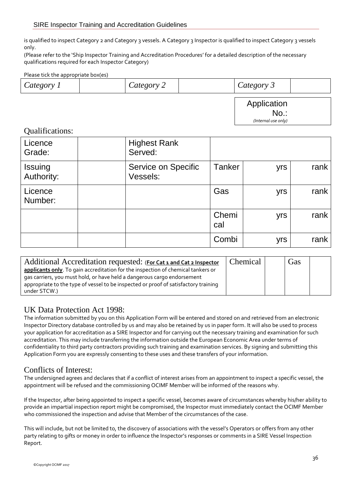is qualified to inspect Category 2 and Category 3 vessels. A Category 3 Inspector is qualified to inspect Category 3 vessels only.

(Please refer to the 'Ship Inspector Training and Accreditation Procedures' for a detailed description of the necessary qualifications required for each Inspector Category)

#### Please tick the appropriate box(es)

| Category | ategory | $\sigma \Delta r$ |  |
|----------|---------|-------------------|--|
|          |         |                   |  |

Application No.: *(Internal use only)*

## Qualifications:

| Licence<br>Grade:     | <b>Highest Rank</b><br>Served:  |               |     |      |
|-----------------------|---------------------------------|---------------|-----|------|
| Issuing<br>Authority: | Service on Specific<br>Vessels: | <b>Tanker</b> | yrs | rank |
| Licence<br>Number:    |                                 | Gas           | yrs | rank |
|                       |                                 | Chemi<br>cal  | yrs | rank |
|                       |                                 | Combi         | yrs | rank |

| Additional Accreditation requested: (For Cat 1 and Cat 2 Inspector                                                                                          | Chemical | Gas |  |
|-------------------------------------------------------------------------------------------------------------------------------------------------------------|----------|-----|--|
| applicants only. To gain accreditation for the inspection of chemical tankers or<br>gas carriers, you must hold, or have held a dangerous cargo endorsement |          |     |  |
| appropriate to the type of vessel to be inspected or proof of satisfactory training<br>under STCW.)                                                         |          |     |  |

## UK Data Protection Act 1998:

The information submitted by you on this Application Form will be entered and stored on and retrieved from an electronic Inspector Directory database controlled by us and may also be retained by us in paper form. It will also be used to process your application for accreditation as a SIRE Inspector and for carrying out the necessary training and examination for such accreditation. This may include transferring the information outside the European Economic Area under terms of confidentiality to third party contractors providing such training and examination services. By signing and submitting this Application Form you are expressly consenting to these uses and these transfers of your information.

## Conflicts of Interest:

The undersigned agrees and declares that if a conflict of interest arises from an appointment to inspect a specific vessel, the appointment will be refused and the commissioning OCIMF Member will be informed of the reasons why.

If the Inspector, after being appointed to inspect a specific vessel, becomes aware of circumstances whereby his/her ability to provide an impartial inspection report might be compromised, the Inspector must immediately contact the OCIMF Member who commissioned the inspection and advise that Member of the circumstances of the case.

This will include, but not be limited to, the discovery of associations with the vessel's Operators or offers from any other party relating to gifts or money in order to influence the Inspector's responses or comments in a SIRE Vessel Inspection Report.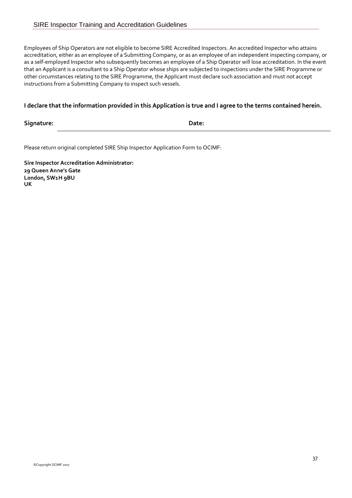Employees of Ship Operators are not eligible to become SIRE Accredited Inspectors. An accredited Inspector who attains accreditation, either as an employee of a Submitting Company, or as an employee of an independent inspecting company, or as a self-employed Inspector who subsequently becomes an employee of a Ship Operator will lose accreditation. In the event that an Applicant is a consultant to a Ship Operator whose ships are subjected to inspections under the SIRE Programme or other circumstances relating to the SIRE Programme, the Applicant must declare such association and must not accept instructions from a Submitting Company to inspect such vessels.

#### **I declare that the information provided in this Application is true and I agree to the terms contained herein.**

**Signature: Date:**

Please return original completed SIRE Ship Inspector Application Form to OCIMF:

**Sire Inspector Accreditation Administrator: 29 Queen Anne's Gate London, SW1H 9BU UK**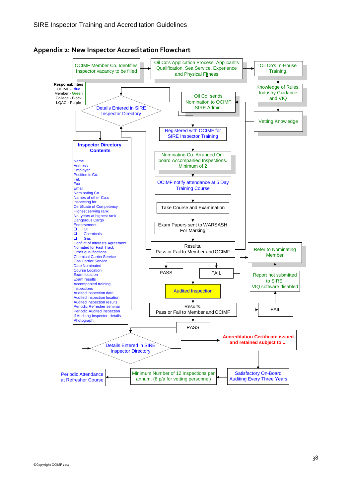

**Appendix 2: New Inspector Accreditation Flowchart**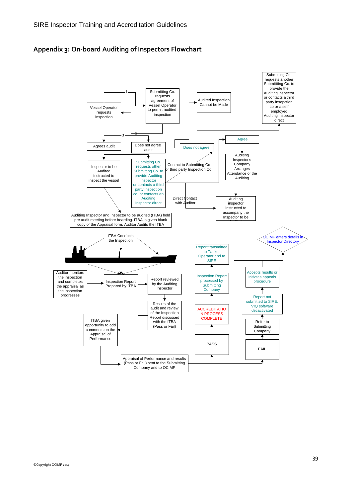

#### **Appendix 3: On-board Auditing of Inspectors Flowchart**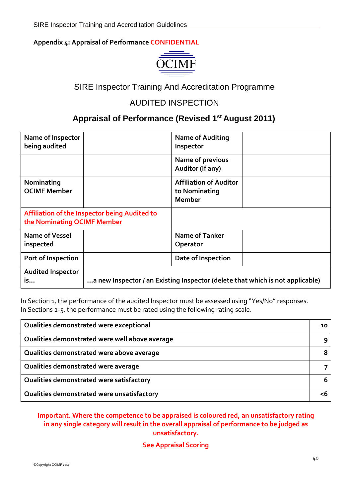#### **Appendix 4: Appraisal of Performance CONFIDENTIAL**



## SIRE Inspector Training And Accreditation Programme

## AUDITED INSPECTION

## **Appraisal of Performance (Revised 1st August 2011)**

| Name of Inspector<br>being audited |                                                                               | <b>Name of Auditing</b><br>Inspector                            |  |
|------------------------------------|-------------------------------------------------------------------------------|-----------------------------------------------------------------|--|
|                                    |                                                                               | Name of previous<br>Auditor (If any)                            |  |
| Nominating<br><b>OCIMF Member</b>  |                                                                               | <b>Affiliation of Auditor</b><br>to Nominating<br><b>Member</b> |  |
| the Nominating OCIMF Member        | Affiliation of the Inspector being Audited to                                 |                                                                 |  |
| Name of Vessel<br>inspected        |                                                                               | <b>Name of Tanker</b><br>Operator                               |  |
| Port of Inspection                 |                                                                               | Date of Inspection                                              |  |
| <b>Audited Inspector</b><br>is     | a new Inspector / an Existing Inspector (delete that which is not applicable) |                                                                 |  |

In Section 1, the performance of the audited Inspector must be assessed using "Yes/No" responses. In Sections 2-5, the performance must be rated using the following rating scale.

| Qualities demonstrated were exceptional        | 10 |
|------------------------------------------------|----|
| Qualities demonstrated were well above average |    |
| Qualities demonstrated were above average      |    |
| Qualities demonstrated were average            |    |
| Qualities demonstrated were satisfactory       |    |
| Qualities demonstrated were unsatisfactory     |    |

#### **Important. Where the competence to be appraised is coloured red, an unsatisfactory rating in any single category will result in the overall appraisal of performance to be judged as unsatisfactory.**

#### **See Appraisal Scoring**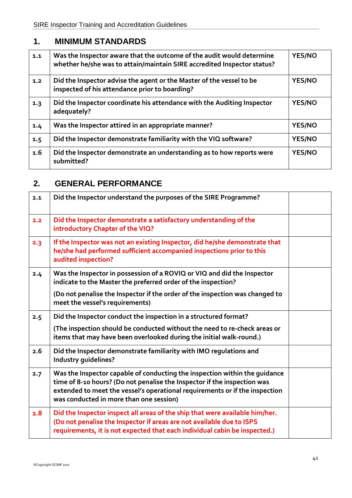## **1. MINIMUM STANDARDS**

| 1.1 | Was the Inspector aware that the outcome of the audit would determine<br>whether he/she was to attain/maintain SIRE accredited Inspector status? | <b>YES/NO</b> |
|-----|--------------------------------------------------------------------------------------------------------------------------------------------------|---------------|
| 1.2 | Did the Inspector advise the agent or the Master of the vessel to be<br>inspected of his attendance prior to boarding?                           | <b>YES/NO</b> |
| 1.3 | Did the Inspector coordinate his attendance with the Auditing Inspector<br>adequately?                                                           | <b>YES/NO</b> |
| 1.4 | Was the Inspector attired in an appropriate manner?                                                                                              | <b>YES/NO</b> |
| 1.5 | Did the Inspector demonstrate familiarity with the VIQ software?                                                                                 | <b>YES/NO</b> |
| 1.6 | Did the Inspector demonstrate an understanding as to how reports were<br>submitted?                                                              | <b>YES/NO</b> |

## **2. GENERAL PERFORMANCE**

| 2.1 | Did the Inspector understand the purposes of the SIRE Programme?                                                                                                                                                                                                                 |  |
|-----|----------------------------------------------------------------------------------------------------------------------------------------------------------------------------------------------------------------------------------------------------------------------------------|--|
| 2.2 | Did the Inspector demonstrate a satisfactory understanding of the<br>introductory Chapter of the VIQ?                                                                                                                                                                            |  |
| 2.3 | If the Inspector was not an existing Inspector, did he/she demonstrate that<br>he/she had performed sufficient accompanied inspections prior to this<br>audited inspection?                                                                                                      |  |
| 2.4 | Was the Inspector in possession of a ROVIQ or VIQ and did the Inspector<br>indicate to the Master the preferred order of the inspection?                                                                                                                                         |  |
|     | (Do not penalise the Inspector if the order of the inspection was changed to<br>meet the vessel's requirements)                                                                                                                                                                  |  |
| 2.5 | Did the Inspector conduct the inspection in a structured format?                                                                                                                                                                                                                 |  |
|     | (The inspection should be conducted without the need to re-check areas or<br>items that may have been overlooked during the initial walk-round.)                                                                                                                                 |  |
| 2.6 | Did the Inspector demonstrate familiarity with IMO regulations and<br><b>Industry guidelines?</b>                                                                                                                                                                                |  |
| 2.7 | Was the Inspector capable of conducting the inspection within the guidance<br>time of 8-10 hours? (Do not penalise the Inspector if the inspection was<br>extended to meet the vessel's operational requirements or if the inspection<br>was conducted in more than one session) |  |
| 2.8 | Did the Inspector inspect all areas of the ship that were available him/her.<br>(Do not penalise the Inspector if areas are not available due to ISPS<br>requirements, it is not expected that each individual cabin be inspected.)                                              |  |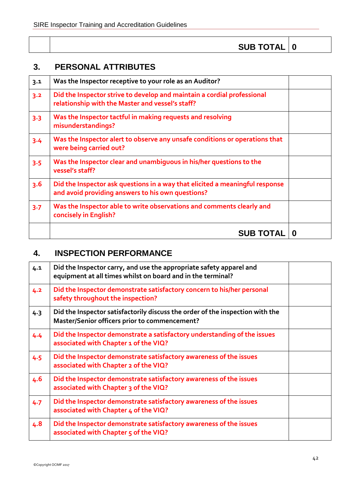| <b>SUB TOTAL   0</b> |  |
|----------------------|--|
|----------------------|--|

Τ

## **3. PERSONAL ATTRIBUTES**

| 3.1     | Was the Inspector receptive to your role as an Auditor?                                                                           |  |
|---------|-----------------------------------------------------------------------------------------------------------------------------------|--|
| 3.2     | Did the Inspector strive to develop and maintain a cordial professional<br>relationship with the Master and vessel's staff?       |  |
| $3 - 3$ | Was the Inspector tactful in making requests and resolving<br>misunderstandings?                                                  |  |
| $3 - 4$ | Was the Inspector alert to observe any unsafe conditions or operations that<br>were being carried out?                            |  |
| $3 - 5$ | Was the Inspector clear and unambiguous in his/her questions to the<br>vessel's staff?                                            |  |
| 3.6     | Did the Inspector ask questions in a way that elicited a meaningful response<br>and avoid providing answers to his own questions? |  |
| 3.7     | Was the Inspector able to write observations and comments clearly and<br>concisely in English?                                    |  |
|         | <b>SUB TOTAL   0</b>                                                                                                              |  |

## **4. INSPECTION PERFORMANCE**

| 4.1 | Did the Inspector carry, and use the appropriate safety apparel and<br>equipment at all times whilst on board and in the terminal? |  |
|-----|------------------------------------------------------------------------------------------------------------------------------------|--|
| 4.2 | Did the Inspector demonstrate satisfactory concern to his/her personal<br>safety throughout the inspection?                        |  |
| 4.3 | Did the Inspector satisfactorily discuss the order of the inspection with the<br>Master/Senior officers prior to commencement?     |  |
| 4.4 | Did the Inspector demonstrate a satisfactory understanding of the issues<br>associated with Chapter 1 of the VIQ?                  |  |
| 4.5 | Did the Inspector demonstrate satisfactory awareness of the issues<br>associated with Chapter 2 of the VIQ?                        |  |
| 4.6 | Did the Inspector demonstrate satisfactory awareness of the issues<br>associated with Chapter 3 of the VIQ?                        |  |
| 4.7 | Did the Inspector demonstrate satisfactory awareness of the issues<br>associated with Chapter 4 of the VIQ?                        |  |
| 4.8 | Did the Inspector demonstrate satisfactory awareness of the issues<br>associated with Chapter 5 of the VIQ?                        |  |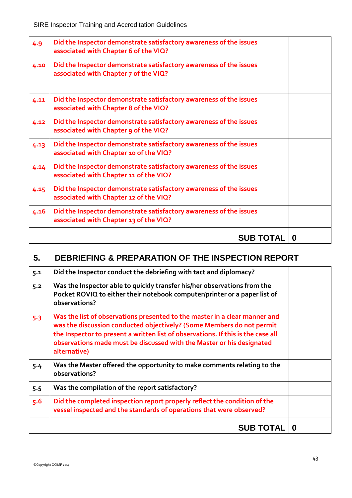| 4.9  | Did the Inspector demonstrate satisfactory awareness of the issues<br>associated with Chapter 6 of the VIQ?  |   |
|------|--------------------------------------------------------------------------------------------------------------|---|
| 4.10 | Did the Inspector demonstrate satisfactory awareness of the issues<br>associated with Chapter 7 of the VIQ?  |   |
| 4.11 | Did the Inspector demonstrate satisfactory awareness of the issues<br>associated with Chapter 8 of the VIQ?  |   |
| 4.12 | Did the Inspector demonstrate satisfactory awareness of the issues<br>associated with Chapter 9 of the VIQ?  |   |
| 4.13 | Did the Inspector demonstrate satisfactory awareness of the issues<br>associated with Chapter 10 of the VIQ? |   |
| 4.14 | Did the Inspector demonstrate satisfactory awareness of the issues<br>associated with Chapter 11 of the VIQ? |   |
| 4.15 | Did the Inspector demonstrate satisfactory awareness of the issues<br>associated with Chapter 12 of the VIQ? |   |
| 4.16 | Did the Inspector demonstrate satisfactory awareness of the issues<br>associated with Chapter 13 of the VIQ? |   |
|      | <b>SUB TOTAL</b>                                                                                             | 0 |

## **5. DEBRIEFING & PREPARATION OF THE INSPECTION REPORT**

| 5.1   | Did the Inspector conduct the debriefing with tact and diplomacy?                                                                                                                                                                                                                                                                |   |
|-------|----------------------------------------------------------------------------------------------------------------------------------------------------------------------------------------------------------------------------------------------------------------------------------------------------------------------------------|---|
| 5.2   | Was the Inspector able to quickly transfer his/her observations from the<br>Pocket ROVIQ to either their notebook computer/printer or a paper list of<br>observations?                                                                                                                                                           |   |
| $5-3$ | Was the list of observations presented to the master in a clear manner and<br>was the discussion conducted objectively? (Some Members do not permit<br>the Inspector to present a written list of observations. If this is the case all<br>observations made must be discussed with the Master or his designated<br>alternative) |   |
| 5.4   | Was the Master offered the opportunity to make comments relating to the<br>observations?                                                                                                                                                                                                                                         |   |
| 5.5   | Was the compilation of the report satisfactory?                                                                                                                                                                                                                                                                                  |   |
| 5.6   | Did the completed inspection report properly reflect the condition of the<br>vessel inspected and the standards of operations that were observed?                                                                                                                                                                                |   |
|       | <b>SUB TOTAL</b>                                                                                                                                                                                                                                                                                                                 | O |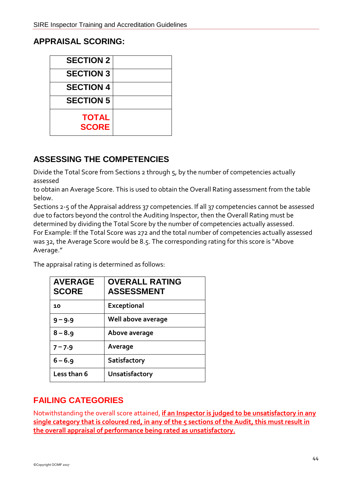## **APPRAISAL SCORING:**

| <b>SECTION 2</b>             |  |
|------------------------------|--|
| <b>SECTION 3</b>             |  |
| <b>SECTION 4</b>             |  |
| <b>SECTION 5</b>             |  |
| <b>TOTAL</b><br><b>SCORE</b> |  |

## **ASSESSING THE COMPETENCIES**

Divide the Total Score from Sections 2 through 5, by the number of competencies actually assessed

to obtain an Average Score. This is used to obtain the Overall Rating assessment from the table below.

Sections 2-5 of the Appraisal address 37 competencies. If all 37 competencies cannot be assessed due to factors beyond the control the Auditing Inspector, then the Overall Rating must be determined by dividing the Total Score by the number of competencies actually assessed. For Example: If the Total Score was 272 and the total number of competencies actually assessed was 32, the Average Score would be 8.5. The corresponding rating for this score is "Above Average."

The appraisal rating is determined as follows:

| <b>AVERAGE</b><br><b>SCORE</b> | <b>OVERALL RATING</b><br><b>ASSESSMENT</b> |
|--------------------------------|--------------------------------------------|
| 10                             | <b>Exceptional</b>                         |
| $9 - 9.9$                      | Well above average                         |
| $8 - 8.9$                      | Above average                              |
| $7 - 7.9$                      | Average                                    |
| $6 - 6.9$                      | Satisfactory                               |
| Less than 6                    | Unsatisfactory                             |

## **FAILING CATEGORIES**

Notwithstanding the overall score attained, **if an Inspector is judged to be unsatisfactory in any single category that is coloured red, in any of the 5 sections of the Audit, this must result in the overall appraisal of performance being rated as unsatisfactory.**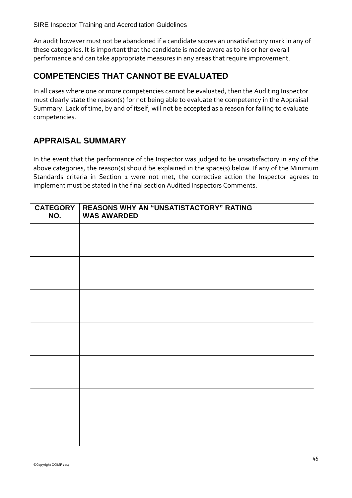An audit however must not be abandoned if a candidate scores an unsatisfactory mark in any of these categories. It is important that the candidate is made aware as to his or her overall performance and can take appropriate measures in any areas that require improvement.

## **COMPETENCIES THAT CANNOT BE EVALUATED**

In all cases where one or more competencies cannot be evaluated, then the Auditing Inspector must clearly state the reason(s) for not being able to evaluate the competency in the Appraisal Summary. Lack of time, by and of itself, will not be accepted as a reason for failing to evaluate competencies.

## **APPRAISAL SUMMARY**

In the event that the performance of the Inspector was judged to be unsatisfactory in any of the above categories, the reason(s) should be explained in the space(s) below. If any of the Minimum Standards criteria in Section 1 were not met, the corrective action the Inspector agrees to implement must be stated in the final section Audited Inspectors Comments.

| CATEGORY<br>NO. | REASONS WHY AN "UNSATISTACTORY" RATING<br><b>WAS AWARDED</b> |
|-----------------|--------------------------------------------------------------|
|                 |                                                              |
|                 |                                                              |
|                 |                                                              |
|                 |                                                              |
|                 |                                                              |
|                 |                                                              |
|                 |                                                              |
|                 |                                                              |
|                 |                                                              |
|                 |                                                              |
|                 |                                                              |
|                 |                                                              |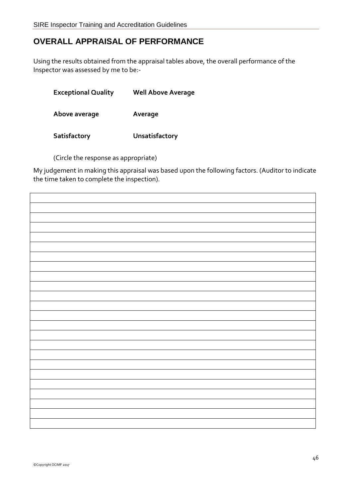## **OVERALL APPRAISAL OF PERFORMANCE**

Using the results obtained from the appraisal tables above, the overall performance of the Inspector was assessed by me to be:-

| <b>Exceptional Quality</b> | <b>Well Above Average</b> |
|----------------------------|---------------------------|
| Above average              | Average                   |
| Satisfactory               | Unsatisfactory            |

(Circle the response as appropriate)

My judgement in making this appraisal was based upon the following factors. (Auditor to indicate the time taken to complete the inspection).

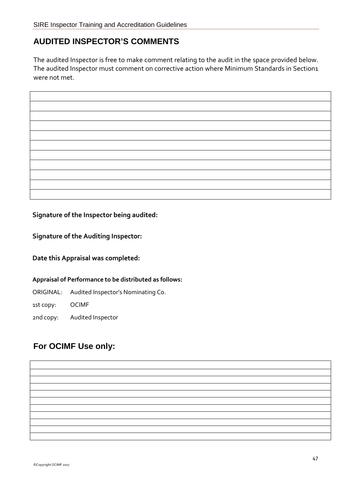## **AUDITED INSPECTOR'S COMMENTS**

The audited Inspector is free to make comment relating to the audit in the space provided below. The audited Inspector must comment on corrective action where Minimum Standards in Section1 were not met.

**Signature of the Inspector being audited:**

**Signature of the Auditing Inspector:**

**Date this Appraisal was completed:**

**Appraisal of Performance to be distributed as follows:**

ORIGINAL: Audited Inspector's Nominating Co.

1st copy: OCIMF

2nd copy: Audited Inspector

## **For OCIMF Use only:**

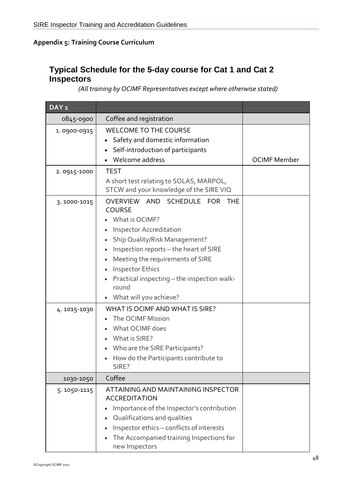## **Appendix 5: Training Course Curriculum**

## **Typical Schedule for the 5-day course for Cat 1 and Cat 2 Inspectors**

*(All training by OCIMF Representatives except where otherwise stated)*

| DAY <sub>1</sub> |                                                                                                                                                                                                                                                                                                                                             |                     |
|------------------|---------------------------------------------------------------------------------------------------------------------------------------------------------------------------------------------------------------------------------------------------------------------------------------------------------------------------------------------|---------------------|
| 0845-0900        | Coffee and registration                                                                                                                                                                                                                                                                                                                     |                     |
| 1.0900-0915      | <b>WELCOME TO THE COURSE</b><br>Safety and domestic information<br>Self-introduction of participants<br>Welcome address                                                                                                                                                                                                                     | <b>OCIMF Member</b> |
| 2.0915-1000      | <b>TEST</b><br>A short test relating to SOLAS, MARPOL,<br>STCW and your knowledge of the SIRE VIQ                                                                                                                                                                                                                                           |                     |
| 3.1000-1015      | SCHEDULE FOR<br>OVERVIEW AND<br><b>THE</b><br><b>COURSE</b><br>What is OCIMF?<br><b>Inspector Accreditation</b><br>Ship Quality/Risk Management?<br>Inspection reports - the heart of SIRE<br>Meeting the requirements of SIRE<br><b>Inspector Ethics</b><br>Practical inspecting - the inspection walk-<br>round<br>What will you achieve? |                     |
| 4.1015-1030      | WHAT IS OCIME AND WHAT IS SIRE?<br>The OCIMF Mission<br>What OCIMF does<br>What is SIRE?<br>Who are the SIRE Participants?<br>How do the Participants contribute to<br>SIRE?                                                                                                                                                                |                     |
| 1030-1050        | Coffee                                                                                                                                                                                                                                                                                                                                      |                     |
| 5.1050-1115      | ATTAINING AND MAINTAINING INSPECTOR<br><b>ACCREDITATION</b><br>Importance of the Inspector's contribution<br>Qualifications and qualities<br>Inspector ethics - conflicts of interests<br>The Accompanied training Inspections for<br>new Inspectors                                                                                        |                     |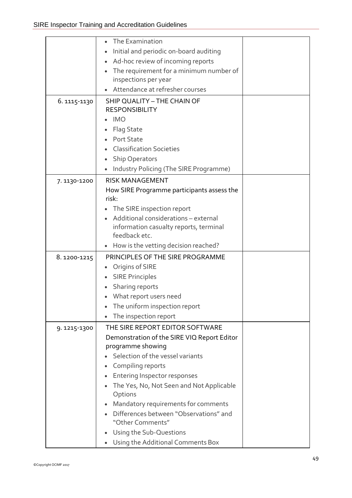|              | The Examination                                            |  |
|--------------|------------------------------------------------------------|--|
|              | Initial and periodic on-board auditing                     |  |
|              | Ad-hoc review of incoming reports                          |  |
|              | The requirement for a minimum number of                    |  |
|              | inspections per year                                       |  |
|              | Attendance at refresher courses                            |  |
| 6. 1115-1130 | SHIP QUALITY - THE CHAIN OF                                |  |
|              | <b>RESPONSIBILITY</b>                                      |  |
|              | <b>IMO</b>                                                 |  |
|              | Flag State                                                 |  |
|              | <b>Port State</b>                                          |  |
|              | <b>Classification Societies</b>                            |  |
|              | <b>Ship Operators</b>                                      |  |
|              | Industry Policing (The SIRE Programme)                     |  |
| 7.1130-1200  | <b>RISK MANAGEMENT</b>                                     |  |
|              | How SIRE Programme participants assess the                 |  |
|              | risk:                                                      |  |
|              | The SIRE inspection report                                 |  |
|              | Additional considerations - external                       |  |
|              | information casualty reports, terminal                     |  |
|              | feedback etc.                                              |  |
|              | How is the vetting decision reached?                       |  |
| 8.1200-1215  | PRINCIPLES OF THE SIRE PROGRAMME                           |  |
|              | Origins of SIRE                                            |  |
|              | <b>SIRE Principles</b>                                     |  |
|              | Sharing reports                                            |  |
|              | What report users need                                     |  |
|              | The uniform inspection report                              |  |
|              | The inspection report                                      |  |
| 9.1215-1300  | THE SIRE REPORT EDITOR SOFTWARE                            |  |
|              | Demonstration of the SIRE VIQ Report Editor                |  |
|              | programme showing                                          |  |
|              | Selection of the vessel variants                           |  |
|              | Compiling reports                                          |  |
|              | <b>Entering Inspector responses</b>                        |  |
|              | The Yes, No, Not Seen and Not Applicable<br>Options        |  |
|              | Mandatory requirements for comments                        |  |
|              | Differences between "Observations" and<br>"Other Comments" |  |
|              | Using the Sub-Questions                                    |  |
|              | Using the Additional Comments Box                          |  |
|              |                                                            |  |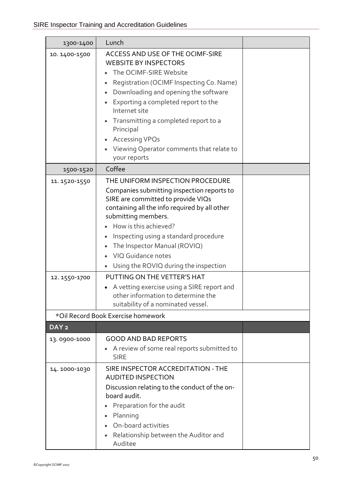| 1300-1400                    | Lunch                                                                                                                                                                                                                                                                                                                                                                                                                                                                                                                  |  |
|------------------------------|------------------------------------------------------------------------------------------------------------------------------------------------------------------------------------------------------------------------------------------------------------------------------------------------------------------------------------------------------------------------------------------------------------------------------------------------------------------------------------------------------------------------|--|
| 10.1400-1500                 | ACCESS AND USE OF THE OCIMF-SIRE<br><b>WEBSITE BY INSPECTORS</b><br>The OCIMF-SIRE Website<br>Registration (OCIMF Inspecting Co. Name)<br>Downloading and opening the software<br>Exporting a completed report to the<br>Internet site<br>Transmitting a completed report to a<br>Principal<br><b>Accessing VPQs</b><br>Viewing Operator comments that relate to<br>your reports                                                                                                                                       |  |
| 1500-1520                    | Coffee                                                                                                                                                                                                                                                                                                                                                                                                                                                                                                                 |  |
| 11.1520-1550<br>12.1550-1700 | THE UNIFORM INSPECTION PROCEDURE<br>Companies submitting inspection reports to<br>SIRE are committed to provide VIQs<br>containing all the info required by all other<br>submitting members.<br>How is this achieved?<br>Inspecting using a standard procedure<br>The Inspector Manual (ROVIQ)<br>VIQ Guidance notes<br>Using the ROVIQ during the inspection<br>PUTTING ON THE VETTER'S HAT<br>A vetting exercise using a SIRE report and<br>other information to determine the<br>suitability of a nominated vessel. |  |
|                              | *Oil Record Book Exercise homework                                                                                                                                                                                                                                                                                                                                                                                                                                                                                     |  |
| DAY <sub>2</sub>             |                                                                                                                                                                                                                                                                                                                                                                                                                                                                                                                        |  |
| 13.0900-1000                 | <b>GOOD AND BAD REPORTS</b><br>A review of some real reports submitted to<br><b>SIRE</b>                                                                                                                                                                                                                                                                                                                                                                                                                               |  |
| 14.1000-1030                 | SIRE INSPECTOR ACCREDITATION - THE<br><b>AUDITED INSPECTION</b><br>Discussion relating to the conduct of the on-<br>board audit.<br>Preparation for the audit<br>Planning<br>On-board activities<br>Relationship between the Auditor and<br>Auditee                                                                                                                                                                                                                                                                    |  |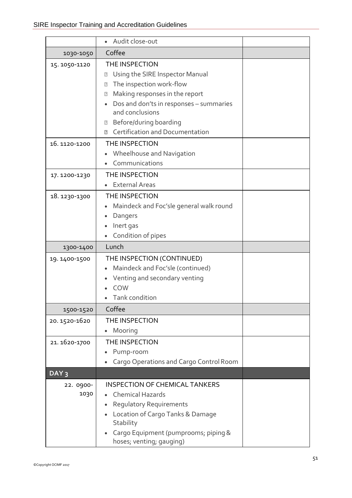|                   | Audit close-out                                                                                                                                                                    |  |
|-------------------|------------------------------------------------------------------------------------------------------------------------------------------------------------------------------------|--|
| 1030-1050         | Coffee                                                                                                                                                                             |  |
| 15.1050-1120      | THE INSPECTION<br>Using the SIRE Inspector Manual<br>$\boxed{2}$<br>The inspection work-flow<br>$\boxed{2}$                                                                        |  |
|                   | Making responses in the report<br>$\boxed{2}$<br>Dos and don'ts in responses - summaries<br>and conclusions<br>Before/during boarding<br>2<br>Certification and Documentation<br>卪 |  |
| 16.1120-1200      | THE INSPECTION<br>Wheelhouse and Navigation<br>Communications                                                                                                                      |  |
| 17.1200-1230      | THE INSPECTION<br><b>External Areas</b>                                                                                                                                            |  |
| 18. 1230-1300     | THE INSPECTION<br>Maindeck and Foc'sle general walk round<br>Dangers<br>Inert gas<br>Condition of pipes                                                                            |  |
| 1300-1400         | Lunch                                                                                                                                                                              |  |
| 19. 1400-1500     | THE INSPECTION (CONTINUED)<br>Maindeck and Foc'sle (continued)<br>Venting and secondary venting<br>COW<br>Tank condition                                                           |  |
| 1500-1520         | Coffee                                                                                                                                                                             |  |
| 20.1520-1620      | THE INSPECTION<br>Mooring                                                                                                                                                          |  |
| 21. 1620-1700     | THE INSPECTION<br>Pump-room<br>Cargo Operations and Cargo Control Room                                                                                                             |  |
| DAY <sub>3</sub>  |                                                                                                                                                                                    |  |
| 22. 0900-<br>1030 | <b>INSPECTION OF CHEMICAL TANKERS</b><br><b>Chemical Hazards</b><br><b>Regulatory Requirements</b><br>Location of Cargo Tanks & Damage<br>Stability                                |  |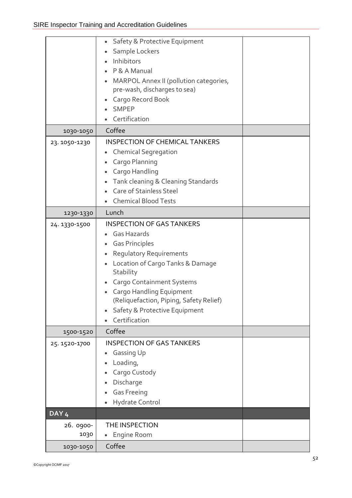|                   | Safety & Protective Equipment<br>Sample Lockers<br>$\bullet$<br>Inhibitors<br>P & A Manual<br>MARPOL Annex II (pollution categories,<br>pre-wash, discharges to sea)<br>Cargo Record Book<br><b>SMPEP</b><br>Certification                                                                                                                  |  |
|-------------------|---------------------------------------------------------------------------------------------------------------------------------------------------------------------------------------------------------------------------------------------------------------------------------------------------------------------------------------------|--|
| 1030-1050         | Coffee                                                                                                                                                                                                                                                                                                                                      |  |
|                   | <b>INSPECTION OF CHEMICAL TANKERS</b>                                                                                                                                                                                                                                                                                                       |  |
| 23. 1050-1230     | <b>Chemical Segregation</b><br>Cargo Planning<br>Cargo Handling<br>$\bullet$<br>Tank cleaning & Cleaning Standards<br>Care of Stainless Steel<br><b>Chemical Blood Tests</b>                                                                                                                                                                |  |
| 1230-1330         | Lunch                                                                                                                                                                                                                                                                                                                                       |  |
| 24. 1330-1500     | <b>INSPECTION OF GAS TANKERS</b><br>Gas Hazards<br><b>Gas Principles</b><br>Regulatory Requirements<br>$\bullet$<br>Location of Cargo Tanks & Damage<br>$\bullet$<br>Stability<br><b>Cargo Containment Systems</b><br>Cargo Handling Equipment<br>(Reliquefaction, Piping, Safety Relief)<br>Safety & Protective Equipment<br>Certification |  |
| 1500-1520         | Coffee                                                                                                                                                                                                                                                                                                                                      |  |
| 25.1520-1700      | <b>INSPECTION OF GAS TANKERS</b><br>Gassing Up<br>$\bullet$<br>Loading,<br>Cargo Custody<br>Discharge<br><b>Gas Freeing</b><br>Hydrate Control                                                                                                                                                                                              |  |
| DAY <sub>4</sub>  |                                                                                                                                                                                                                                                                                                                                             |  |
| 26. 0900-<br>1030 | THE INSPECTION<br>Engine Room<br>٠                                                                                                                                                                                                                                                                                                          |  |
| 1030-1050         | Coffee                                                                                                                                                                                                                                                                                                                                      |  |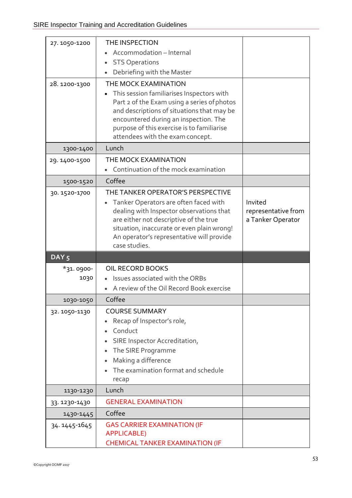| 27.1050-1200     | THE INSPECTION                                                                            |                                          |
|------------------|-------------------------------------------------------------------------------------------|------------------------------------------|
|                  | Accommodation - Internal                                                                  |                                          |
|                  | <b>STS Operations</b>                                                                     |                                          |
|                  | Debriefing with the Master<br>$\bullet$                                                   |                                          |
| 28.1200-1300     | THE MOCK EXAMINATION                                                                      |                                          |
|                  | This session familiarises Inspectors with                                                 |                                          |
|                  | Part 2 of the Exam using a series of photos<br>and descriptions of situations that may be |                                          |
|                  | encountered during an inspection. The                                                     |                                          |
|                  | purpose of this exercise is to familiarise                                                |                                          |
|                  | attendees with the exam concept.                                                          |                                          |
| 1300-1400        | Lunch                                                                                     |                                          |
| 29.1400-1500     | THE MOCK EXAMINATION                                                                      |                                          |
|                  | Continuation of the mock examination                                                      |                                          |
| 1500-1520        | Coffee                                                                                    |                                          |
| 30.1520-1700     | THE TANKER OPERATOR'S PERSPECTIVE                                                         |                                          |
|                  | Tanker Operators are often faced with                                                     | Invited                                  |
|                  | dealing with Inspector observations that<br>are either not descriptive of the true        | representative from<br>a Tanker Operator |
|                  | situation, inaccurate or even plain wrong!                                                |                                          |
|                  | An operator's representative will provide                                                 |                                          |
|                  | case studies.                                                                             |                                          |
| DAY <sub>5</sub> |                                                                                           |                                          |
| *31.0900-        | OIL RECORD BOOKS                                                                          |                                          |
| 1030             | Issues associated with the ORBs                                                           |                                          |
|                  | A review of the Oil Record Book exercise                                                  |                                          |
| 1030-1050        | Coffee                                                                                    |                                          |
| 32.1050-1130     | <b>COURSE SUMMARY</b>                                                                     |                                          |
|                  | Recap of Inspector's role,                                                                |                                          |
|                  | Conduct                                                                                   |                                          |
|                  | SIRE Inspector Accreditation,                                                             |                                          |
|                  | The SIRE Programme                                                                        |                                          |
|                  | Making a difference<br>The examination format and schedule                                |                                          |
|                  | recap                                                                                     |                                          |
| 1130-1230        | Lunch                                                                                     |                                          |
| 33.1230-1430     | <b>GENERAL EXAMINATION</b>                                                                |                                          |
| 1430-1445        | Coffee                                                                                    |                                          |
| 34. 1445-1645    |                                                                                           |                                          |
|                  | <b>GAS CARRIER EXAMINATION (IF</b>                                                        |                                          |
|                  | <b>APPLICABLE)</b><br><b>CHEMICAL TANKER EXAMINATION (IF</b>                              |                                          |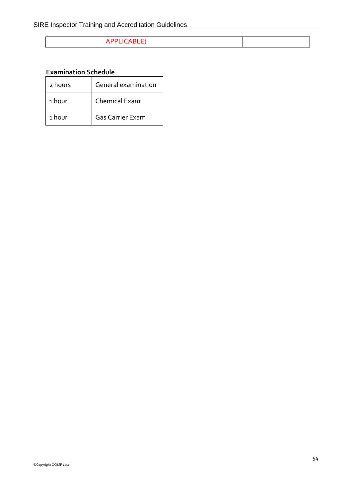## APPLICABLE)

#### **Examination Schedule**

| 2 hours | General examination     |
|---------|-------------------------|
| 1 hour  | Chemical Exam           |
| 1 hour  | <b>Gas Carrier Exam</b> |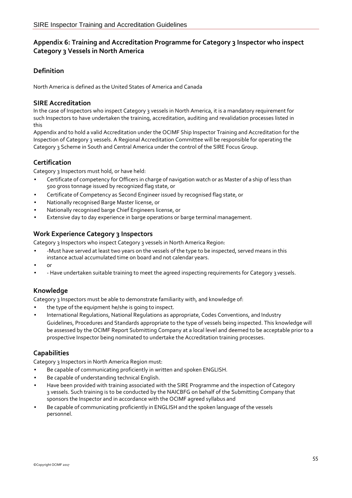#### **Appendix 6: Training and Accreditation Programme for Category 3 Inspector who inspect Category 3 Vessels in North America**

#### **Definition**

North America is defined as the United States of America and Canada

#### **SIRE Accreditation**

In the case of Inspectors who inspect Category 3 vessels in North America, it is a mandatory requirement for such Inspectors to have undertaken the training, accreditation, auditing and revalidation processes listed in this

Appendix and to hold a valid Accreditation under the OCIMF Ship Inspector Training and Accreditation for the Inspection of Category 3 vessels. A Regional Accreditation Committee will be responsible for operating the Category 3 Scheme in South and Central America under the control of the SIRE Focus Group.

#### **Certification**

Category 3 Inspectors must hold, or have held:

- Certificate of competency for Officers in charge of navigation watch or as Master of a ship of less than 500 gross tonnage issued by recognized flag state, or
- Certificate of Competency as Second Engineer issued by recognised flag state, or
- Nationally recognised Barge Master license, or
- Nationally recognised barge Chief Engineers license, or
- Extensive day to day experience in barge operations or barge terminal management.

#### **Work Experience Category 3 Inspectors**

Category 3 Inspectors who inspect Category 3 vessels in North America Region:

- -Must have served at least two years on the vessels of the type to be inspected, served means in this instance actual accumulated time on board and not calendar years.
- or
- - Have undertaken suitable training to meet the agreed inspecting requirements for Category 3 vessels.

#### **Knowledge**

Category 3 Inspectors must be able to demonstrate familiarity with, and knowledge of:

- the type of the equipment he/she is going to inspect.
- International Regulations, National Regulations as appropriate, Codes Conventions, and Industry Guidelines, Procedures and Standards appropriate to the type of vessels being inspected. This knowledge will be assessed by the OCIMF Report Submitting Company at a local level and deemed to be acceptable prior to a prospective Inspector being nominated to undertake the Accreditation training processes.

#### **Capabilities**

Category 3 Inspectors in North America Region must:

- Be capable of communicating proficiently in written and spoken ENGLISH.
- Be capable of understanding technical English.
- Have been provided with training associated with the SIRE Programme and the inspection of Category 3 vessels. Such training is to be conducted by the NAICBFG on behalf of the Submitting Company that sponsors the Inspector and in accordance with the OCIMF agreed syllabus and
- Be capable of communicating proficiently in ENGLISH and the spoken language of the vessels personnel.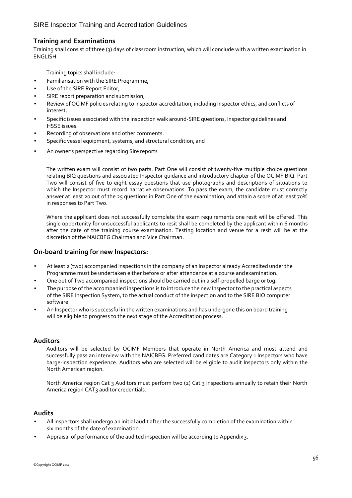#### **Training and Examinations**

Training shall consist of three (3) days of classroom instruction, which will conclude with a written examination in ENGLISH.

Training topics shall include:

- Familiarisation with the SIRE Programme,
- Use of the SIRE Report Editor,
- SIRE report preparation and submission,
- Review of OCIMF policies relating to Inspector accreditation, including Inspector ethics, and conflicts of interest,
- Specific issues associated with the inspection walk around-SIRE questions, Inspector guidelines and HSSE issues.
- Recording of observations and other comments.
- Specific vessel equipment, systems, and structural condition, and
- An owner's perspective regarding Sire reports

The written exam will consist of two parts. Part One will consist of twenty-five multiple choice questions relating BIQ questions and associated Inspector guidance and introductory chapter of the OCIMF BIQ. Part Two will consist of five to eight essay questions that use photographs and descriptions of situations to which the Inspector must record narrative observations. To pass the exam, the candidate must correctly answer at least 20 out of the 25 questions in Part One of the examination, and attain a score of at least 70% in responses to Part Two.

Where the applicant does not successfully complete the exam requirements one resit will be offered. This single opportunity for unsuccessful applicants to resit shall be completed by the applicant within 6 months after the date of the training course examination. Testing location and venue for a resit will be at the discretion of the NAICBFG Chairman and Vice Chairman.

#### **On-board training for new Inspectors:**

- At least 2 (two) accompanied inspections in the company of an Inspector already Accredited under the Programme must be undertaken either before or after attendance at a course andexamination.
- One out of Two accompanied inspections should be carried out in a self-propelled barge ortug.
- The purpose of the accompanied inspections is to introduce the new Inspector to the practical aspects of the SIRE Inspection System, to the actual conduct of the inspection and to the SIRE BIQ computer software.
- An Inspector who is successful in the written examinations and has undergone this on board training will be eligible to progress to the next stage of the Accreditation process.

#### **Auditors**

Auditors will be selected by OCIMF Members that operate in North America and must attend and successfully pass an interview with the NAICBFG. Preferred candidates are Category 1 Inspectors who have barge-inspection experience. Auditors who are selected will be eligible to audit Inspectors only within the North American region.

North America region Cat 3 Auditors must perform two (2) Cat 3 inspections annually to retain their North America region CAT3 auditor credentials.

#### **Audits**

- All Inspectors shall undergo an initial audit after the successfully completion of the examination within six months of the date of examination.
- Appraisal of performance of the audited inspection will be according to Appendix 3.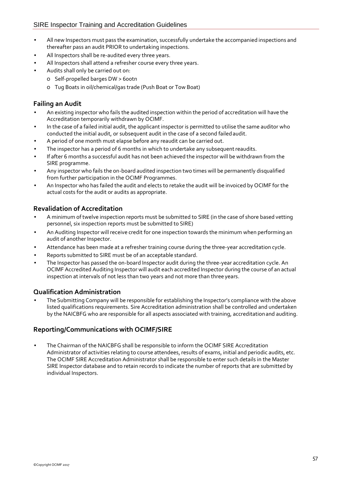- All new Inspectors must pass the examination, successfully undertake the accompanied inspections and thereafter pass an audit PRIOR to undertaking inspections.
- All Inspectors shall be re-audited every three years.
- All Inspectors shall attend a refresher course every three years.
- Audits shall only be carried out on:
	- o Self-propelled barges DW > 600tn
		- o Tug Boats in oil/chemical/gas trade (Push Boat or Tow Boat)

#### **Failing an Audit**

- An existing inspector who fails the audited inspection within the period of accreditation will have the Accreditation temporarily withdrawn by OCIMF.
- In the case of a failed initial audit, the applicant inspector is permitted to utilise the same auditor who conducted the initial audit, or subsequent audit in the case of a second failedaudit.
- A period of one month must elapse before any reaudit can be carried out.
- The inspector has a period of 6 months in which to undertake any subsequent reaudits.
- If after 6 months a successful audit has not been achieved the inspector will be withdrawn from the SIRE programme.
- Any inspector who fails the on-board audited inspection two times will be permanently disqualified from further participation in the OCIMF Programmes.
- An Inspector who has failed the audit and elects to retake the audit will be invoiced by OCIMF for the actual costs for the audit or audits as appropriate.

#### **Revalidation of Accreditation**

- A minimum of twelve inspection reports must be submitted to SIRE (in the case of shore based vetting personnel, six inspection reports must be submitted to SIRE)
- An Auditing Inspector will receive credit for one inspection towards the minimum when performing an audit of another Inspector.
- Attendance has been made at a refresher training course during the three-year accreditation cycle.
- Reports submitted to SIRE must be of an acceptable standard.
- The Inspector has passed the on-board Inspector audit during the three-year accreditation cycle. An OCIMF Accredited Auditing Inspector will audit each accredited Inspector during the course of an actual inspection at intervals of not less than two years and not more than three years.

#### **Qualification Administration**

• The Submitting Company will be responsible for establishing the Inspector's compliance with the above listed qualifications requirements. Sire Accreditation administration shall be controlled and undertaken by the NAICBFG who are responsible for all aspects associated with training, accreditationand auditing.

#### **Reporting/Communications with OCIMF/SIRE**

• The Chairman of the NAICBFG shall be responsible to inform the OCIMF SIRE Accreditation Administrator of activities relating to course attendees, results of exams, initial and periodic audits, etc. The OCIMF SIRE Accreditation Administrator shall be responsible to enter such details in the Master SIRE Inspector database and to retain records to indicate the number of reports that are submitted by individual Inspectors.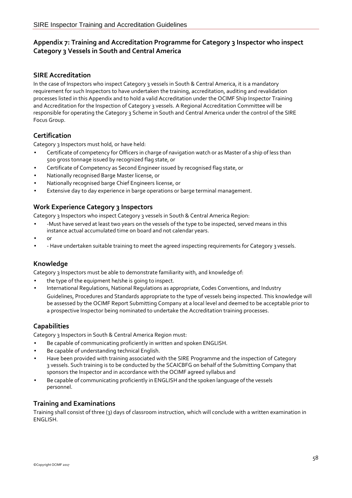#### **Appendix 7: Training and Accreditation Programme for Category 3 Inspector who inspect Category 3 Vessels in South and Central America**

#### **SIRE Accreditation**

In the case of Inspectors who inspect Category 3 vessels in South & Central America, it is a mandatory requirement for such Inspectors to have undertaken the training, accreditation, auditing and revalidation processes listed in this Appendix and to hold a valid Accreditation under the OCIMF Ship Inspector Training and Accreditation for the Inspection of Category 3 vessels. A Regional Accreditation Committee will be responsible for operating the Category 3 Scheme in South and Central America under the control of the SIRE Focus Group.

#### **Certification**

Category 3 Inspectors must hold, or have held:

- Certificate of competency for Officers in charge of navigation watch or as Master of a ship of less than 500 gross tonnage issued by recognized flag state, or
- Certificate of Competency as Second Engineer issued by recognised flag state, or
- Nationally recognised Barge Master license, or
- Nationally recognised barge Chief Engineers license, or
- Extensive day to day experience in barge operations or barge terminal management.

#### **Work Experience Category 3 Inspectors**

Category 3 Inspectors who inspect Category 3 vessels in South & Central America Region:

- -Must have served at least two years on the vessels of the type to be inspected, served means in this instance actual accumulated time on board and not calendar years.
- or
- - Have undertaken suitable training to meet the agreed inspecting requirements for Category 3 vessels.

#### **Knowledge**

Category 3 Inspectors must be able to demonstrate familiarity with, and knowledge of:

- the type of the equipment he/she is going to inspect.
- International Regulations, National Regulations as appropriate, Codes Conventions, and Industry Guidelines, Procedures and Standards appropriate to the type of vessels being inspected. This knowledge will be assessed by the OCIMF Report Submitting Company at a local level and deemed to be acceptable prior to a prospective Inspector being nominated to undertake the Accreditation training processes.

#### **Capabilities**

Category 3 Inspectors in South & Central America Region must:

- Be capable of communicating proficiently in written and spoken ENGLISH.
- Be capable of understanding technical English.
- Have been provided with training associated with the SIRE Programme and the inspection of Category 3 vessels. Such training is to be conducted by the SCAICBFG on behalf of the Submitting Company that sponsors the Inspector and in accordance with the OCIMF agreed syllabus and
- Be capable of communicating proficiently in ENGLISH and the spoken language ofthe vessels personnel.

#### **Training and Examinations**

Training shall consist of three (3) days of classroom instruction, which will conclude with a written examination in ENGLISH.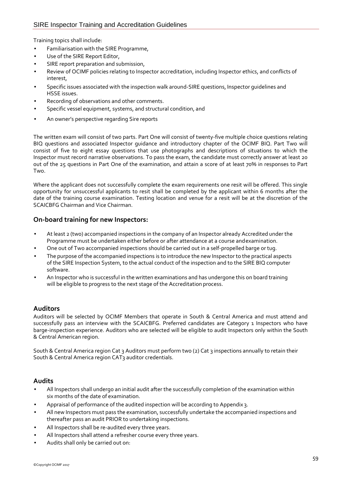Training topics shall include:

- Familiarisation with the SIRE Programme,
- Use of the SIRE Report Editor,
- SIRE report preparation and submission,
- Review of OCIMF policies relating to Inspector accreditation, including Inspector ethics, and conflicts of interest,
- Specific issues associated with the inspection walk around-SIRE questions, Inspector guidelines and HSSE issues.
- Recording of observations and other comments.
- Specific vessel equipment, systems, and structural condition, and
- An owner's perspective regarding Sire reports

The written exam will consist of two parts. Part One will consist of twenty-five multiple choice questions relating BIQ questions and associated Inspector guidance and introductory chapter of the OCIMF BIQ. Part Two will consist of five to eight essay questions that use photographs and descriptions of situations to which the Inspector must record narrative observations. To pass the exam, the candidate must correctly answer at least 20 out of the 25 questions in Part One of the examination, and attain a score of at least 70% in responses to Part Two.

Where the applicant does not successfully complete the exam requirements one resit will be offered. This single opportunity for unsuccessful applicants to resit shall be completed by the applicant within 6 months after the date of the training course examination. Testing location and venue for a resit will be at the discretion of the SCAICBFG Chairman and Vice Chairman.

#### **On-board training for new Inspectors:**

- At least 2 (two) accompanied inspections in the company of an Inspector already Accredited under the Programme must be undertaken either before or after attendance at a course andexamination.
- One out of Two accompanied inspections should be carried out in a self-propelled barge or tug.
- The purpose of the accompanied inspections is to introduce the new Inspector to the practical aspects of the SIRE Inspection System, to the actual conduct of the inspection and to the SIRE BIQ computer software.
- An Inspector who is successful in the written examinations and has undergone this on board training will be eligible to progress to the next stage of the Accreditation process.

#### **Auditors**

Auditors will be selected by OCIMF Members that operate in South & Central America and must attend and successfully pass an interview with the SCAICBFG. Preferred candidates are Category 1 Inspectors who have barge-inspection experience. Auditors who are selected will be eligible to audit Inspectors only within the South & Central American region.

South & Central America region Cat 3 Auditors must perform two (2) Cat 3 inspections annually to retain their South & Central America region CAT<sub>3</sub> auditor credentials.

#### **Audits**

- All Inspectors shall undergo an initial audit after the successfully completion of the examination within six months of the date of examination.
- Appraisal of performance of the audited inspection will be according to Appendix 3.
- All new Inspectors must pass the examination, successfully undertake the accompanied inspections and thereafter pass an audit PRIOR to undertaking inspections.
- All Inspectors shall be re-audited every three years.
- All Inspectors shall attend a refresher course every three years.
- Audits shall only be carried out on: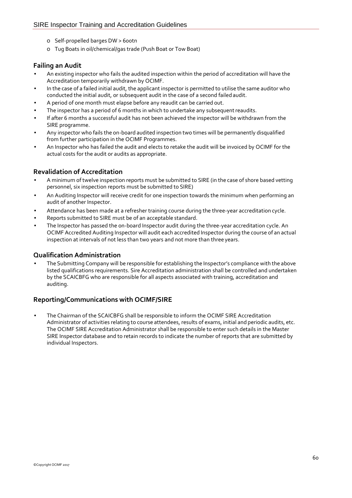- o Self-propelled barges DW > 600tn
- o Tug Boats in oil/chemical/gas trade (Push Boat or Tow Boat)

#### **Failing an Audit**

- An existing inspector who fails the audited inspection within the period of accreditation will have the Accreditation temporarily withdrawn by OCIMF.
- In the case of a failed initial audit, the applicant inspector is permitted to utilise the same auditor who conducted the initial audit, or subsequent audit in the case of a second failedaudit.
- A period of one month must elapse before any reaudit can be carried out.
- The inspector has a period of 6 months in which to undertake any subsequent reaudits.
- If after 6 months a successful audit has not been achieved the inspector will be withdrawn from the SIRE programme.
- Any inspector who fails the on-board audited inspection two times will be permanently disqualified from further participation in the OCIMF Programmes.
- An Inspector who has failed the audit and elects to retake the audit will be invoiced by OCIMF for the actual costs for the audit or audits as appropriate.

#### **Revalidation of Accreditation**

- A minimum of twelve inspection reports must be submitted to SIRE (in the case of shore based vetting personnel, six inspection reports must be submitted to SIRE)
- An Auditing Inspector will receive credit for one inspection towards the minimum when performing an audit of another Inspector.
- Attendance has been made at a refresher training course during the three-year accreditation cycle.
- Reports submitted to SIRE must be of an acceptable standard.
- The Inspector has passed the on-board Inspector audit during the three-year accreditation cycle. An OCIMF Accredited Auditing Inspector will audit each accredited Inspector during the course of an actual inspection at intervals of not less than two years and not more than three years.

#### **Qualification Administration**

• The Submitting Company will be responsible for establishing the Inspector's compliance with the above listed qualifications requirements. Sire Accreditation administration shall be controlled and undertaken by the SCAICBFG who are responsible for all aspects associated with training, accreditation and auditing.

#### **Reporting/Communications with OCIMF/SIRE**

• The Chairman of the SCAICBFG shall be responsible to inform the OCIMF SIRE Accreditation Administrator of activities relating to course attendees, results of exams, initial and periodic audits, etc. The OCIMF SIRE Accreditation Administrator shall be responsible to enter such details in the Master SIRE Inspector database and to retain records to indicate the number of reports that are submitted by individual Inspectors.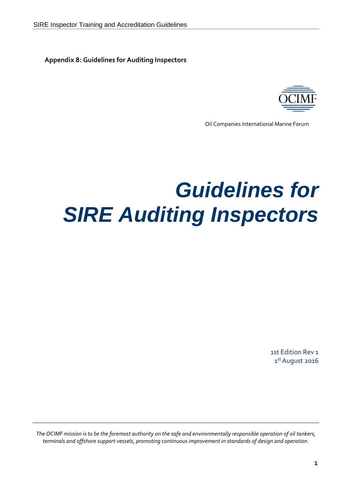**Appendix 8: Guidelines for Auditing Inspectors**



Oil Companies International Marine Forum

# *Guidelines for SIRE Auditing Inspectors*

1st Edition Rev 1 1st August 2016

*The OCIMF mission is to be the foremost authority on the safe and environmentally responsible operation of oil tankers, terminals and offshore support vessels, promoting continuous improvement in standards of design and operation.*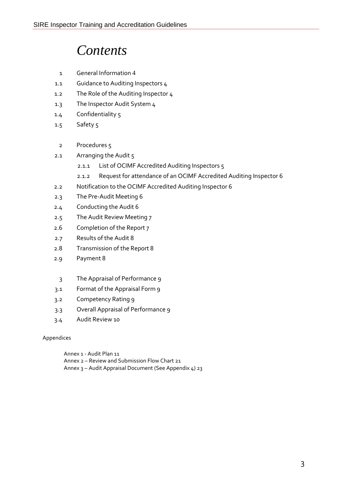## *Contents*

- 1 General Information 4
- 1.1 Guidance to Auditing Inspectors 4
- 1.2 The Role of the Auditing Inspector 4
- 1.3 The Inspector Audit System 4
- 1.4 Confidentiality 5
- 1.5 Safety 5
	- 2 Procedures 5
- 2.1 Arranging the Audit 5
	- 2.1.1 List of OCIMF Accredited Auditing Inspectors 5
	- 2.1.2 Request for attendance of an OCIMF Accredited Auditing Inspector 6
- 2.2 Notification to the OCIMF Accredited Auditing Inspector 6
- 2.3 The Pre-Audit Meeting 6
- 2.4 Conducting the Audit 6
- 2.5 The Audit Review Meeting 7
- 2.6 Completion of the Report 7
- 2.7 Results of the Audit 8
- 2.8 Transmission of the Report 8
- 2.9 Payment 8
- 3 The Appraisal of Performance 9
- 3.1 Format of the Appraisal Form 9
- 3.2 Competency Rating 9
- 3.3 Overall Appraisal of Performance 9
- 3.4 Audit Review 10

#### Appendices

- Annex 1 Audit Plan 11 Annex 2 – Review and Submission Flow Chart 21
- Annex 3 Audit Appraisal Document (See Appendix 4) 23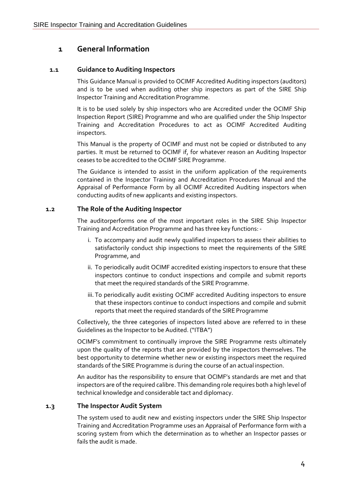## **1 General Information**

#### **1.1 Guidance to Auditing Inspectors**

This Guidance Manual is provided to OCIMF Accredited Auditing inspectors (auditors) and is to be used when auditing other ship inspectors as part of the SIRE Ship Inspector Training and Accreditation Programme.

It is to be used solely by ship inspectors who are Accredited under the OCIMF Ship Inspection Report (SIRE) Programme and who are qualified under the Ship Inspector Training and Accreditation Procedures to act as OCIMF Accredited Auditing inspectors.

This Manual is the property of OCIMF and must not be copied or distributed to any parties. It must be returned to OCIMF if, for whatever reason an Auditing Inspector ceases to be accredited to the OCIMF SIRE Programme.

The Guidance is intended to assist in the uniform application of the requirements contained in the Inspector Training and Accreditation Procedures Manual and the Appraisal of Performance Form by all OCIMF Accredited Auditing inspectors when conducting audits of new applicants and existing inspectors.

#### **1.2 The Role of the Auditing Inspector**

The auditorperforms one of the most important roles in the SIRE Ship Inspector Training and Accreditation Programme and has three key functions:-

- i. To accompany and audit newly qualified inspectors to assess their abilities to satisfactorily conduct ship inspections to meet the requirements of the SIRE Programme, and
- ii. To periodically audit OCIMF accredited existing inspectors to ensure that these inspectors continue to conduct inspections and compile and submit reports that meet the required standards of the SIRE Programme.
- iii. To periodically audit existing OCIMF accredited Auditing inspectors to ensure that these inspectors continue to conduct inspections and compile and submit reports that meet the required standards of the SIRE Programme

Collectively, the three categories of inspectors listed above are referred to in these Guidelines as the Inspector to be Audited. ("ITBA")

OCIMF's commitment to continually improve the SIRE Programme rests ultimately upon the quality of the reports that are provided by the inspectors themselves. The best opportunity to determine whether new or existing inspectors meet the required standards of the SIRE Programme is during the course of an actual inspection.

An auditor has the responsibility to ensure that OCIMF's standards are met and that inspectors are ofthe required calibre. This demanding role requires both a high level of technical knowledge and considerable tact and diplomacy.

#### **1.3 The Inspector Audit System**

The system used to audit new and existing inspectors under the SIRE Ship Inspector Training and Accreditation Programme uses an Appraisal of Performance form with a scoring system from which the determination as to whether an Inspector passes or fails the audit is made.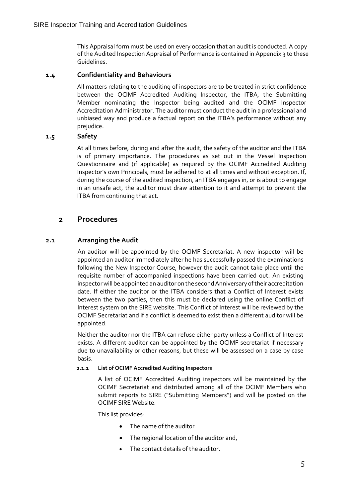This Appraisal form must be used on every occasion that an audit is conducted. A copy of the Audited Inspection Appraisal of Performance is contained in Appendix 3 to these Guidelines.

#### **1.4 Confidentiality and Behaviours**

All matters relating to the auditing of inspectors are to be treated in strict confidence between the OCIMF Accredited Auditing Inspector, the ITBA, the Submitting Member nominating the Inspector being audited and the OCIMF Inspector Accreditation Administrator. The auditor must conduct the audit in a professional and unbiased way and produce a factual report on the ITBA's performance without any prejudice.

#### **1.5 Safety**

At all times before, during and after the audit, the safety of the auditor and the ITBA is of primary importance. The procedures as set out in the Vessel Inspection Questionnaire and (if applicable) as required by the OCIMF Accredited Auditing Inspector's own Principals, must be adhered to at all times and without exception. If, during the course of the audited inspection, an ITBA engages in, or is about to engage in an unsafe act, the auditor must draw attention to it and attempt to prevent the ITBA from continuing that act.

#### **2 Procedures**

#### **2.1 Arranging the Audit**

An auditor will be appointed by the OCIMF Secretariat. A new inspector will be appointed an auditor immediately after he has successfully passed the examinations following the New Inspector Course, however the audit cannot take place until the requisite number of accompanied inspections have been carried out. An existing inspector will be appointed an auditor on the second Anniversary of their accreditation date. If either the auditor or the ITBA considers that a Conflict of Interest exists between the two parties, then this must be declared using the online Conflict of Interest system on the SIRE website. This Conflict of Interest will be reviewed by the OCIMF Secretariat and if a conflict is deemed to exist then a different auditor will be appointed.

Neither the auditor nor the ITBA can refuse either party unless a Conflict of Interest exists. A different auditor can be appointed by the OCIMF secretariat if necessary due to unavailability or other reasons, but these will be assessed on a case by case basis.

#### **2.1.1 List of OCIMF Accredited Auditing Inspectors**

A list of OCIMF Accredited Auditing inspectors will be maintained by the OCIMF Secretariat and distributed among all of the OCIMF Members who submit reports to SIRE ("Submitting Members") and will be posted on the OCIMF SIRE Website.

This list provides:

- The name of the auditor
- The regional location of the auditor and,
- The contact details of the auditor.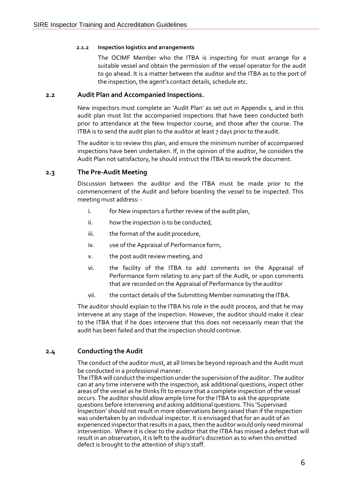#### **2.1.2 Inspection logistics and arrangements**

The OCIMF Member who the ITBA is inspecting for must arrange for a suitable vessel and obtain the permission of the vessel operator for the audit to go ahead. It is a matter between the auditor and the ITBA as to the port of the inspection, the agent's contact details, schedule etc.

#### **2.2 Audit Plan and Accompanied Inspections.**

New inspectors must complete an 'Audit Plan' as set out in Appendix 1, and in this audit plan must list the accompanied inspections that have been conducted both prior to attendance at the New Inspector course, and those after the course. The ITBA is to send the audit plan to the auditor at least 7 days prior to the audit.

The auditor is to review this plan, and ensure the minimum number of accompanied inspections have been undertaken. If, in the opinion of the auditor, he considers the Audit Plan not satisfactory, he should instruct the ITBA to rework the document.

#### **2.3 The Pre-Audit Meeting**

Discussion between the auditor and the ITBA must be made prior to the commencement of the Audit and before boarding the vessel to be inspected. This meeting must address: -

- i. for New inspectors a further review of the audit plan,
- ii. how the inspection is to be conducted,
- iii. the format of the audit procedure,
- iv. use of the Appraisal of Performance form,
- v. the post audit review meeting, and
- vi. the facility of the ITBA to add comments on the Appraisal of Performance form relating to any part of the Audit, or upon comments that are recorded on the Appraisal of Performance by the auditor
- vii. the contact details of the Submitting Member nominating the ITBA.

The auditor should explain to the ITBA his role in the audit process, and that he may intervene at any stage of the inspection. However, the auditor should make it clear to the ITBA that if he does intervene that this does not necessarily mean that the audit has been failed and that the inspection should continue.

#### **2.4 Conducting the Audit**

The conduct of the auditor must, at all times be beyond reproach and the Audit must be conducted in a professional manner.

The ITBA will conduct the inspection under the supervision of the auditor. The auditor can at any time intervene with the inspection, ask additional questions, inspect other areas of the vessel as he thinks fit to ensure that a complete inspection of the vessel occurs. The auditor should allow ample time for the ITBA to ask the appropriate questions before intervening and asking additional questions. This 'Supervised Inspection' should not result in more observations being raised than if the inspection was undertaken by an individual inspector. It is envisaged that for an audit of an experienced inspector that results in a pass, then the auditor would only need minimal intervention. Where it is clear to the auditor that the ITBA has missed a defect that will result in an observation, it is left to the auditor's discretion as to when this omitted defect is brought to the attention of ship's staff.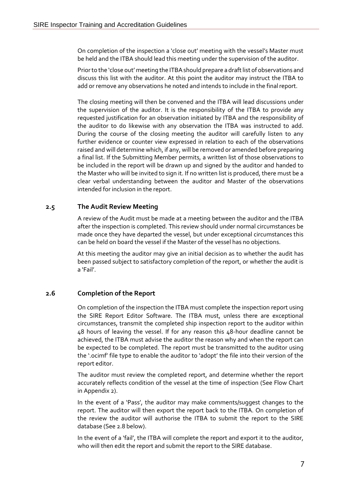On completion of the inspection a 'close out' meeting with the vessel's Master must be held and the ITBA should lead this meeting under the supervision of the auditor.

Prior to the 'close out' meeting the ITBA should prepare a draft list of observations and discuss this list with the auditor. At this point the auditor may instruct the ITBA to add or remove any observations he noted and intends to include in the final report.

The closing meeting will then be convened and the ITBA will lead discussions under the supervision of the auditor. It is the responsibility of the ITBA to provide any requested justification for an observation initiated by ITBA and the responsibility of the auditor to do likewise with any observation the ITBA was instructed to add. During the course of the closing meeting the auditor will carefully listen to any further evidence or counter view expressed in relation to each of the observations raised and will determine which, if any, will be removed or amended before preparing a final list. If the Submitting Member permits, a written list of those observations to be included in the report will be drawn up and signed by the auditor and handed to the Master who will be invited to sign it. If no written list is produced, there must be a clear verbal understanding between the auditor and Master of the observations intended for inclusion in the report.

#### **2.5 The Audit Review Meeting**

A review of the Audit must be made at a meeting between the auditor and the ITBA after the inspection is completed. This review should under normal circumstances be made once they have departed the vessel, but under exceptional circumstances this can be held on board the vessel if the Master of the vessel has no objections.

At this meeting the auditor may give an initial decision as to whether the audit has been passed subject to satisfactory completion of the report, or whether the audit is a 'Fail'.

#### **2.6 Completion of the Report**

On completion of the inspection the ITBA must complete the inspection report using the SIRE Report Editor Software. The ITBA must, unless there are exceptional circumstances, transmit the completed ship inspection report to the auditor within 48 hours of leaving the vessel. If for any reason this 48-hour deadline cannot be achieved, the ITBA must advise the auditor the reason why and when the report can be expected to be completed. The report must be transmitted to the auditor using the '.ocimf' file type to enable the auditor to 'adopt' the file into their version of the report editor.

The auditor must review the completed report, and determine whether the report accurately reflects condition of the vessel at the time of inspection (See Flow Chart in Appendix 2).

In the event of a 'Pass', the auditor may make comments/suggest changes to the report. The auditor will then export the report back to the ITBA. On completion of the review the auditor will authorise the ITBA to submit the report to the SIRE database (See 2.8 below).

In the event of a 'fail', the ITBA will complete the report and export it to the auditor, who will then edit the report and submit the report to the SIRE database.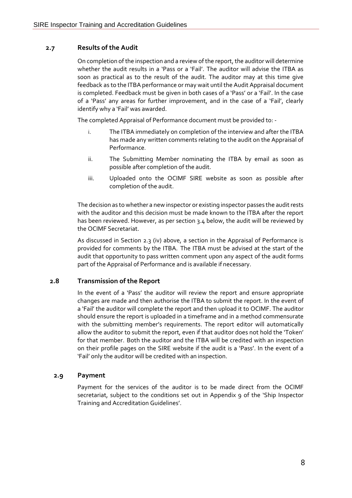#### **2.7 Results of the Audit**

On completion of the inspection and a review of the report, the auditor will determine whether the audit results in a 'Pass or a 'Fail'. The auditor will advise the ITBA as soon as practical as to the result of the audit. The auditor may at this time give feedback as to the ITBA performance or may wait until the Audit Appraisal document is completed. Feedback must be given in both cases of a 'Pass' or a 'Fail'. In the case of a 'Pass' any areas for further improvement, and in the case of a 'Fail', clearly identify why a 'Fail' was awarded.

The completed Appraisal of Performance document must be provided to: -

- i. The ITBA immediately on completion of the interview and after the ITBA has made any written comments relating to the audit on the Appraisal of Performance.
- ii. The Submitting Member nominating the ITBA by email as soon as possible after completion of the audit.
- iii. Uploaded onto the OCIMF SIRE website as soon as possible after completion of the audit.

The decision as to whether a new inspector or existing inspector passes the audit rests with the auditor and this decision must be made known to the ITBA after the report has been reviewed. However, as per section 3.4 below, the audit will be reviewed by the OCIMF Secretariat.

As discussed in Section 2.3 (iv) above, a section in the Appraisal of Performance is provided for comments by the ITBA. The ITBA must be advised at the start of the audit that opportunity to pass written comment upon any aspect of the audit forms part of the Appraisal of Performance and is available if necessary.

#### **2.8 Transmission of the Report**

In the event of a 'Pass' the auditor will review the report and ensure appropriate changes are made and then authorise the ITBA to submit the report. In the event of a 'Fail' the auditor will complete the report and then upload it to OCIMF. The auditor should ensure the report is uploaded in a timeframe and in a method commensurate with the submitting member's requirements. The report editor will automatically allow the auditor to submit the report, even if that auditor does not hold the 'Token' for that member. Both the auditor and the ITBA will be credited with an inspection on their profile pages on the SIRE website if the audit is a 'Pass'. In the event of a 'Fail' only the auditor will be credited with an inspection.

#### **2.9 Payment**

Payment for the services of the auditor is to be made direct from the OCIMF secretariat, subject to the conditions set out in Appendix 9 of the 'Ship Inspector Training and Accreditation Guidelines'.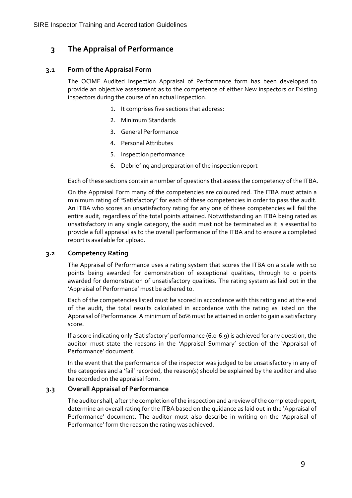## **3 The Appraisal of Performance**

#### **3.1 Form of the Appraisal Form**

The OCIMF Audited Inspection Appraisal of Performance form has been developed to provide an objective assessment as to the competence of either New inspectors or Existing inspectors during the course of an actual inspection.

- 1. It comprises five sections that address:
- 2. Minimum Standards
- 3. General Performance
- 4. Personal Attributes
- 5. Inspection performance
- 6. Debriefing and preparation of the inspection report

Each of these sections contain a number of questions that assess the competency of the ITBA.

On the Appraisal Form many of the competencies are coloured red. The ITBA must attain a minimum rating of "Satisfactory" for each of these competencies in order to pass the audit. An ITBA who scores an unsatisfactory rating for any one of these competencies will fail the entire audit, regardless of the total points attained. Notwithstanding an ITBA being rated as unsatisfactory in any single category, the audit must not be terminated as it is essential to provide a full appraisal as to the overall performance of the ITBA and to ensure a completed report is available for upload.

#### **3.2 Competency Rating**

The Appraisal of Performance uses a rating system that scores the ITBA on a scale with 10 points being awarded for demonstration of exceptional qualities, through to 0 points awarded for demonstration of unsatisfactory qualities. The rating system as laid out in the 'Appraisal of Performance' must be adhered to.

Each of the competencies listed must be scored in accordance with this rating and at the end of the audit, the total results calculated in accordance with the rating as listed on the Appraisal of Performance. A minimum of 60% must be attained in order to gain a satisfactory score.

If a score indicating only 'Satisfactory' performance (6.0-6.9) is achieved for any question, the auditor must state the reasons in the 'Appraisal Summary' section of the 'Appraisal of Performance' document.

In the event that the performance of the inspector was judged to be unsatisfactory in any of the categories and a 'fail' recorded, the reason(s) should be explained by the auditor and also be recorded on the appraisal form.

#### **3.3 Overall Appraisal of Performance**

The auditor shall, after the completion of the inspection and a review of the completed report, determine an overall rating for the ITBA based on the guidance as laid out in the 'Appraisal of Performance' document. The auditor must also describe in writing on the 'Appraisal of Performance' form the reason the rating was achieved.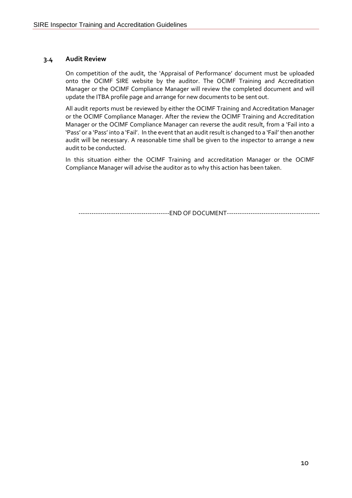#### **3.4 Audit Review**

On competition of the audit, the 'Appraisal of Performance' document must be uploaded onto the OCIMF SIRE website by the auditor. The OCIMF Training and Accreditation Manager or the OCIMF Compliance Manager will review the completed document and will update the ITBA profile page and arrange for new documents to be sent out.

All audit reports must be reviewed by either the OCIMF Training and Accreditation Manager or the OCIMF Compliance Manager. After the review the OCIMF Training and Accreditation Manager or the OCIMF Compliance Manager can reverse the audit result, from a 'Fail into a 'Pass' or a 'Pass' into a 'Fail'. In the event that an audit result is changed to a 'Fail' then another audit will be necessary. A reasonable time shall be given to the inspector to arrange a new audit to be conducted.

In this situation either the OCIMF Training and accreditation Manager or the OCIMF Compliance Manager will advise the auditor as to why this action has been taken.

------------------------------END OF DOCUMENT-----------------------------------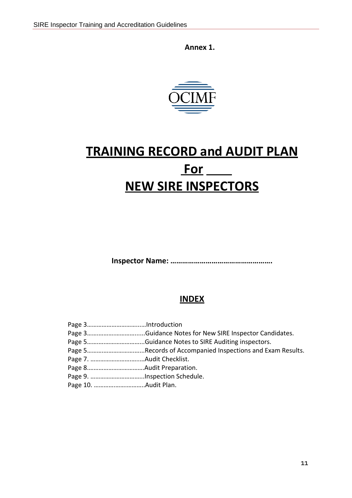**Annex 1.**



# **TRAINING RECORD and AUDIT PLAN For NEW SIRE INSPECTORS**

**Inspector Name: …………………………………………….**

## **INDEX**

| Page 3Guidance Notes for New SIRE Inspector Candidates.    |
|------------------------------------------------------------|
|                                                            |
| Page 5Records of Accompanied Inspections and Exam Results. |
|                                                            |
|                                                            |
| Page 9. Inspection Schedule.                               |
|                                                            |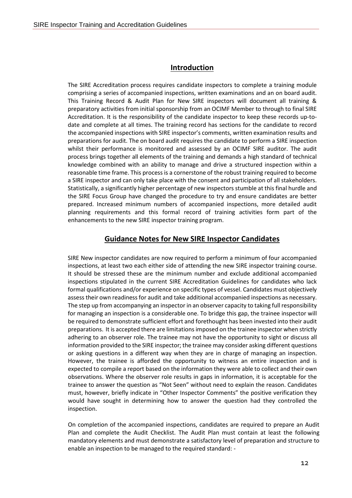#### **Introduction**

The SIRE Accreditation process requires candidate inspectors to complete a training module comprising a series of accompanied inspections, written examinations and an on board audit. This Training Record & Audit Plan for New SIRE inspectors will document all training & preparatory activities from initial sponsorship from an OCIMF Member to through to final SIRE Accreditation. It is the responsibility of the candidate inspector to keep these records up-todate and complete at all times. The training record has sections for the candidate to record the accompanied inspections with SIRE inspector's comments, written examination results and preparations for audit. The on board audit requires the candidate to perform a SIRE inspection whilst their performance is monitored and assessed by an OCIMF SIRE auditor. The audit process brings together all elements of the training and demands a high standard of technical knowledge combined with an ability to manage and drive a structured inspection within a reasonable time frame. This process is a cornerstone of the robust training required to become a SIRE inspector and can only take place with the consent and participation of all stakeholders. Statistically, a significantly higher percentage of new inspectors stumble at this final hurdle and the SIRE Focus Group have changed the procedure to try and ensure candidates are better prepared. Increased minimum numbers of accompanied inspections, more detailed audit planning requirements and this formal record of training activities form part of the enhancements to the new SIRE inspector training program.

#### **Guidance Notes for New SIRE Inspector Candidates**

SIRE New inspector candidates are now required to perform a minimum of four accompanied inspections, at least two each either side of attending the new SIRE inspector training course. It should be stressed these are the minimum number and exclude additional accompanied inspections stipulated in the current SIRE Accreditation Guidelines for candidates who lack formal qualifications and/or experience on specific types of vessel. Candidates must objectively assess their own readiness for audit and take additional accompanied inspections as necessary. The step up from accompanying an inspector in an observer capacity to taking fullresponsibility for managing an inspection is a considerable one. To bridge this gap, the trainee inspector will be required to demonstrate sufficient effort and forethought has been invested into their audit preparations. It is accepted there are limitationsimposed on the trainee inspector when strictly adhering to an observer role. The trainee may not have the opportunity to sight or discuss all information provided to the SIRE inspector; the trainee may consider asking different questions or asking questions in a different way when they are in charge of managing an inspection. However, the trainee is afforded the opportunity to witness an entire inspection and is expected to compile a report based on the information they were able to collect and their own observations. Where the observer role results in gaps in information, it is acceptable for the trainee to answer the question as "Not Seen" without need to explain the reason. Candidates must, however, briefly indicate in "Other Inspector Comments" the positive verification they would have sought in determining how to answer the question had they controlled the inspection.

On completion of the accompanied inspections, candidates are required to prepare an Audit Plan and complete the Audit Checklist. The Audit Plan must contain at least the following mandatory elements and must demonstrate a satisfactory level of preparation and structure to enable an inspection to be managed to the required standard: -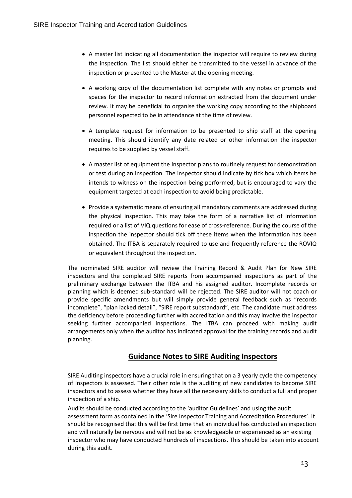- A master list indicating all documentation the inspector will require to review during the inspection. The list should either be transmitted to the vessel in advance of the inspection or presented to the Master at the opening meeting.
- A working copy of the documentation list complete with any notes or prompts and spaces for the inspector to record information extracted from the document under review. It may be beneficial to organise the working copy according to the shipboard personnel expected to be in attendance at the time ofreview.
- A template request for information to be presented to ship staff at the opening meeting. This should identify any date related or other information the inspector requires to be supplied by vessel staff.
- A master list of equipment the inspector plans to routinely request for demonstration or test during an inspection. The inspector should indicate by tick box which items he intends to witness on the inspection being performed, but is encouraged to vary the equipment targeted at each inspection to avoid being predictable.
- Provide a systematic means of ensuring all mandatory comments are addressed during the physical inspection. This may take the form of a narrative list of information required or a list of VIQ questions for ease of cross-reference. During the course of the inspection the inspector should tick off these items when the information has been obtained. The ITBA is separately required to use and frequently reference the ROVIQ or equivalent throughout the inspection.

The nominated SIRE auditor will review the Training Record & Audit Plan for New SIRE inspectors and the completed SIRE reports from accompanied inspections as part of the preliminary exchange between the ITBA and his assigned auditor. Incomplete records or planning which is deemed sub-standard will be rejected. The SIRE auditor will not coach or provide specific amendments but will simply provide general feedback such as "records incomplete", "plan lacked detail", "SIRE report substandard", etc. The candidate must address the deficiency before proceeding further with accreditation and this may involve the inspector seeking further accompanied inspections. The ITBA can proceed with making audit arrangements only when the auditor has indicated approval for the training records and audit planning.

## **Guidance Notes to SIRE Auditing Inspectors**

SIRE Auditing inspectors have a crucial role in ensuring that on a 3 yearly cycle the competency of inspectors is assessed. Their other role is the auditing of new candidates to become SIRE inspectors and to assess whether they have all the necessary skills to conduct a full and proper inspection of a ship.

Audits should be conducted according to the 'auditor Guidelines' and using the audit assessment form as contained in the 'Sire Inspector Training and Accreditation Procedures'. It should be recognised that this will be first time that an individual has conducted an inspection and will naturally be nervous and will not be as knowledgeable or experienced as an existing inspector who may have conducted hundreds of inspections. This should be taken into account during this audit.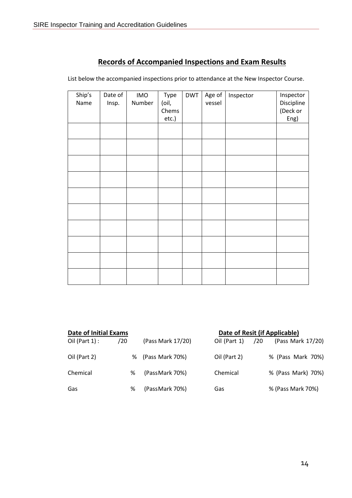## **Records of Accompanied Inspections and Exam Results**

| Ship's<br>Name | Date of<br>Insp. | <b>IMO</b><br>Number | Type<br>(oil,<br>Chems<br>etc.) | <b>DWT</b> | Age of<br>vessel | Inspector | Inspector<br>Discipline<br>(Deck or<br>Eng) |
|----------------|------------------|----------------------|---------------------------------|------------|------------------|-----------|---------------------------------------------|
|                |                  |                      |                                 |            |                  |           |                                             |
|                |                  |                      |                                 |            |                  |           |                                             |
|                |                  |                      |                                 |            |                  |           |                                             |
|                |                  |                      |                                 |            |                  |           |                                             |
|                |                  |                      |                                 |            |                  |           |                                             |
|                |                  |                      |                                 |            |                  |           |                                             |
|                |                  |                      |                                 |            |                  |           |                                             |
|                |                  |                      |                                 |            |                  |           |                                             |
|                |                  |                      |                                 |            |                  |           |                                             |
|                |                  |                      |                                 |            |                  |           |                                             |

List below the accompanied inspections prior to attendance at the New Inspector Course.

| <b>Date of Initial Exams</b> |     |                   |              | Date of Resit (if Applicable) |
|------------------------------|-----|-------------------|--------------|-------------------------------|
| Oil (Part $1$ ) :            | /20 | (Pass Mark 17/20) | Oil (Part 1) | (Pass Mark 17/20)<br>/20      |
| Oil (Part 2)                 | %   | (Pass Mark 70%)   | Oil (Part 2) | % (Pass Mark 70%)             |
| Chemical                     | %   | (PassMark 70%)    | Chemical     | % (Pass Mark) 70%)            |
| Gas                          | ℅   | (PassMark 70%)    | Gas          | % (Pass Mark 70%)             |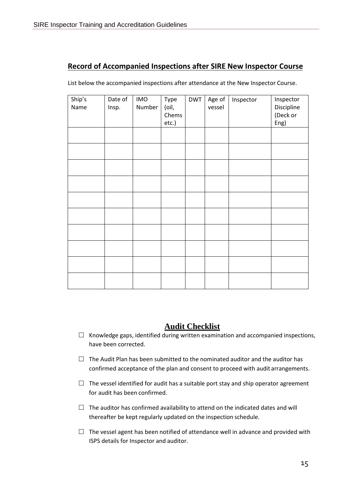## **Record of Accompanied Inspections after SIRE New Inspector Course**

List below the accompanied inspections after attendance at the New Inspector Course.

| Ship's | Date of | <b>IMO</b> | Type  | <b>DWT</b> | Age of | Inspector | Inspector  |
|--------|---------|------------|-------|------------|--------|-----------|------------|
| Name   | Insp.   | Number     | (oil, |            | vessel |           | Discipline |
|        |         |            | Chems |            |        |           | (Deck or   |
|        |         |            | etc.) |            |        |           | Eng)       |
|        |         |            |       |            |        |           |            |
|        |         |            |       |            |        |           |            |
|        |         |            |       |            |        |           |            |
|        |         |            |       |            |        |           |            |
|        |         |            |       |            |        |           |            |
|        |         |            |       |            |        |           |            |
|        |         |            |       |            |        |           |            |
|        |         |            |       |            |        |           |            |
|        |         |            |       |            |        |           |            |
|        |         |            |       |            |        |           |            |
|        |         |            |       |            |        |           |            |

## **Audit Checklist**

- $\Box$  Knowledge gaps, identified during written examination and accompanied inspections, have been corrected.
- $\Box$  The Audit Plan has been submitted to the nominated auditor and the auditor has confirmed acceptance of the plan and consent to proceed with audit arrangements.
- $\Box$  The vessel identified for audit has a suitable port stay and ship operator agreement for audit has been confirmed.
- $\Box$  The auditor has confirmed availability to attend on the indicated dates and will thereafter be kept regularly updated on the inspection schedule.
- $\Box$  The vessel agent has been notified of attendance well in advance and provided with ISPS details for Inspector and auditor.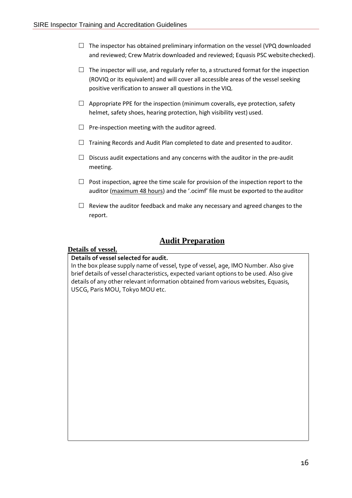- $\Box$  The inspector has obtained preliminary information on the vessel (VPQ downloaded and reviewed; Crew Matrix downloaded and reviewed; Equasis PSC websitechecked).
- $\Box$  The inspector will use, and regularly refer to, a structured format for the inspection (ROVIQ or its equivalent) and will cover all accessible areas of the vessel seeking positive verification to answer all questions in the VIQ.
- $\Box$  Appropriate PPE for the inspection (minimum coveralls, eye protection, safety helmet, safety shoes, hearing protection, high visibility vest) used.
- $\Box$  Pre-inspection meeting with the auditor agreed.
- $\Box$  Training Records and Audit Plan completed to date and presented to auditor.
- $\Box$  Discuss audit expectations and any concerns with the auditor in the pre-audit meeting.
- $\Box$  Post inspection, agree the time scale for provision of the inspection report to the auditor (maximum 48 hours) and the '.ocimf' file must be exported to the auditor
- $\Box$  Review the auditor feedback and make any necessary and agreed changes to the report.

## **Audit Preparation**

### **Details of vessel.**

#### **Details of vessel selected for audit.**

In the box please supply name of vessel, type of vessel, age, IMO Number. Also give brief details of vessel characteristics, expected variant options to be used. Also give details of any other relevant information obtained from various websites, Equasis, USCG, Paris MOU, Tokyo MOU etc.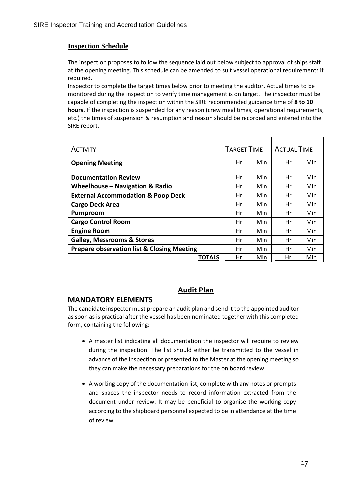#### **Inspection Schedule**

The inspection proposes to follow the sequence laid out below subject to approval of ships staff at the opening meeting. This schedule can be amended to suit vessel operational requirements if required.

Inspector to complete the target times below prior to meeting the auditor. Actual times to be monitored during the inspection to verify time management is on target. The inspector must be capable of completing the inspection within the SIRE recommended guidance time of **8 to 10 hours.** If the inspection is suspended for any reason (crew meal times, operational requirements, etc.) the times of suspension & resumption and reason should be recorded and entered into the SIRE report.

| <b>ACTIVITY</b>                                       | <b>TARGET TIME</b> |            | <b>ACTUAL TIME</b> |     |
|-------------------------------------------------------|--------------------|------------|--------------------|-----|
| <b>Opening Meeting</b>                                | Hr                 | <b>Min</b> | Hr                 | Min |
| <b>Documentation Review</b>                           | Hr                 | Min        | Hr                 | Min |
| Wheelhouse - Navigation & Radio                       | Hr                 | Min        | Hr                 | Min |
| <b>External Accommodation &amp; Poop Deck</b>         | Hr                 | Min        | Hr                 | Min |
| <b>Cargo Deck Area</b>                                | Hr                 | Min        | Hr                 | Min |
| <b>Pumproom</b>                                       | Hr                 | Min        | Hr                 | Min |
| <b>Cargo Control Room</b>                             | Hr                 | Min        | Hr                 | Min |
| <b>Engine Room</b>                                    | Hr                 | Min        | Hr                 | Min |
| <b>Galley, Messrooms &amp; Stores</b>                 | Hr                 | Min        | Hr                 | Min |
| <b>Prepare observation list &amp; Closing Meeting</b> | Hr                 | Min        | Hr                 | Min |
| <b>TOTALS</b>                                         | Hr                 | Min        | Hr                 | Min |

### **Audit Plan**

#### **MANDATORY ELEMENTS**

The candidate inspector must prepare an audit plan and send it to the appointed auditor as soon as is practical after the vessel has been nominated together with this completed form, containing the following: -

- A master list indicating all documentation the inspector will require to review during the inspection. The list should either be transmitted to the vessel in advance of the inspection or presented to the Master at the opening meeting so they can make the necessary preparations for the on board review.
- A working copy of the documentation list, complete with any notes or prompts and spaces the inspector needs to record information extracted from the document under review. It may be beneficial to organise the working copy according to the shipboard personnel expected to be in attendance at the time of review.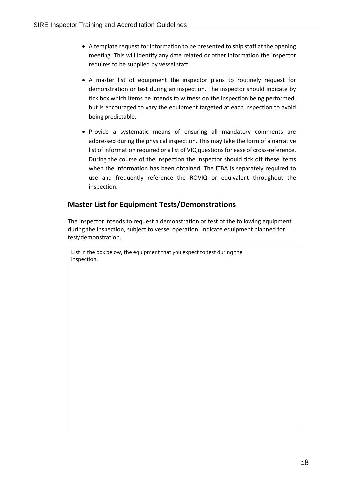- A template request for information to be presented to ship staff at the opening meeting. This will identify any date related or other information the inspector requires to be supplied by vessel staff.
- A master list of equipment the inspector plans to routinely request for demonstration or test during an inspection. The inspector should indicate by tick box which items he intends to witness on the inspection being performed, but is encouraged to vary the equipment targeted at each inspection to avoid being predictable.
- Provide a systematic means of ensuring all mandatory comments are addressed during the physical inspection. This may take the form of a narrative list of information required or a list of VIQ questions for ease of cross-reference. During the course of the inspection the inspector should tick off these items when the information has been obtained. The ITBA is separately required to use and frequently reference the ROVIQ or equivalent throughout the inspection.

## **Master List for Equipment Tests/Demonstrations**

The inspector intends to request a demonstration or test of the following equipment during the inspection, subject to vessel operation. Indicate equipment planned for test/demonstration.

List in the box below, the equipment that you expect to test during the inspection.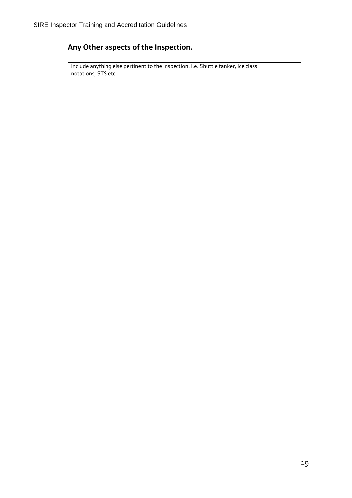# **Any Other aspects of the Inspection.**

Include anything else pertinent to the inspection. i.e. Shuttle tanker, Ice class notations, STS etc.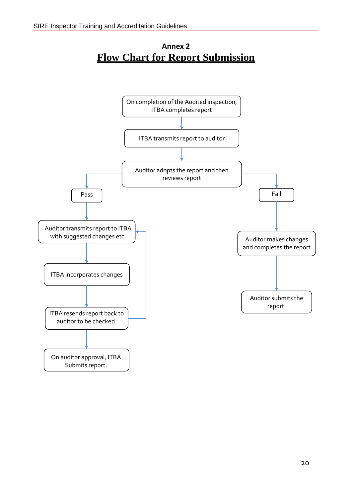# **Annex 2 Flow Chart for Report Submission**

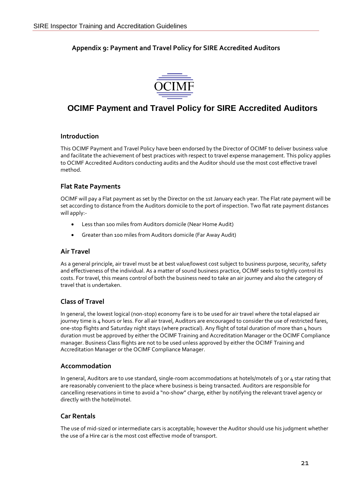## **Appendix 9: Payment and Travel Policy for SIRE Accredited Auditors**



# **OCIMF Payment and Travel Policy for SIRE Accredited Auditors**

#### **Introduction**

This OCIMF Payment and Travel Policy have been endorsed by the Director of OCIMF to deliver business value and facilitate the achievement of best practices with respect to travel expense management. This policy applies to OCIMF Accredited Auditors conducting audits and the Auditor should use the most cost effective travel method.

#### **Flat Rate Payments**

OCIMF will pay a Flat payment as set by the Director on the 1st January each year. The Flat rate payment will be set according to distance from the Auditors domicile to the port of inspection. Two flat rate payment distances will apply:-

- Less than 100 miles from Auditors domicile (Near Home Audit)
- Greater than 100 miles from Auditors domicile (Far Away Audit)

#### **Air Travel**

As a general principle, air travel must be at best value/lowest cost subject to business purpose, security, safety and effectiveness of the individual. As a matter of sound business practice, OCIMF seeks to tightly control its costs. For travel, this means control of both the business need to take an air journey and also the category of travel that is undertaken.

#### **Class of Travel**

In general, the lowest logical (non-stop) economy fare is to be used for air travel where the total elapsed air journey time is 4 hours or less. For all air travel, Auditors are encouraged to consider the use of restricted fares, one-stop flights and Saturday night stays (where practical). Any flight of total duration of more than 4 hours duration must be approved by either the OCIMF Training and Accreditation Manager or the OCIMF Compliance manager. Business Class flights are not to be used unless approved by either the OCIMF Training and Accreditation Manager or the OCIMF Compliance Manager.

#### **Accommodation**

In general, Auditors are to use standard, single-room accommodations at hotels/motels of 3 or 4 star rating that are reasonably convenient to the place where business is being transacted. Auditors are responsible for cancelling reservations in time to avoid a "no-show" charge, either by notifying the relevant travel agency or directly with the hotel/motel.

### **Car Rentals**

The use of mid-sized or intermediate cars is acceptable; however the Auditor should use his judgment whether the use of a Hire car is the most cost effective mode of transport.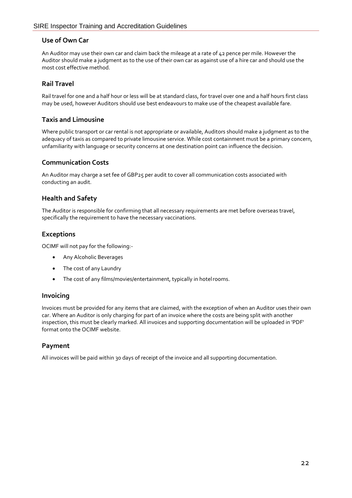#### **Use of Own Car**

An Auditor may use their own car and claim back the mileage at a rate of 42 pence per mile. However the Auditor should make a judgment as to the use of their own car as against use of a hire car and should use the most cost effective method.

#### **Rail Travel**

Rail travel for one and a half hour or less will be at standard class, for travel over one and a half hours first class may be used, however Auditors should use best endeavours to make use of the cheapest available fare.

#### **Taxis and Limousine**

Where public transport or car rental is not appropriate or available, Auditors should make a judgment as to the adequacy of taxis as compared to private limousine service. While cost containment must be a primary concern, unfamiliarity with language or security concerns at one destination point can influence the decision.

#### **Communication Costs**

An Auditor may charge a set fee of GBP25 per audit to cover all communication costs associated with conducting an audit.

#### **Health and Safety**

The Auditor is responsible for confirming that all necessary requirements are met before overseas travel, specifically the requirement to have the necessary vaccinations.

### **Exceptions**

OCIMF will not pay for the following:-

- Any Alcoholic Beverages
- The cost of any Laundry
- The cost of any films/movies/entertainment, typically in hotelrooms.

#### **Invoicing**

Invoices must be provided for any items that are claimed, with the exception of when an Auditor uses their own car. Where an Auditor is only charging for part of an invoice where the costs are being split with another inspection, this must be clearly marked. All invoices and supporting documentation will be uploaded in 'PDF' format onto the OCIMF website.

#### **Payment**

All invoices will be paid within 30 days of receipt of the invoice and all supporting documentation.